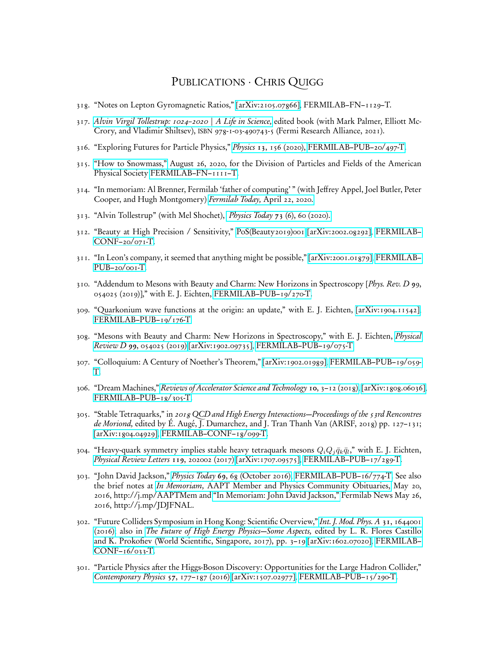## PUBLICATIONS · CHRIS QUIGG

- 318. "Notes on Lepton Gyromagnetic Ratios," [\[arXiv:2105.07866\],](http://arXiv.org/abs/2105.07866) FERMILAB–FN–1129–T.
- 317. Alvin Virgil Tollestrup: 1024-2020 | A Life in Science, edited book (with Mark Palmer, Elliott Mc-Crory, and Vladimir Shiltsev), ISBN 978-1-03-490743-5 (Fermi Research Alliance, 2021).
- 316. "Exploring Futures for Particle Physics," Physics 13[, 156 \(2020\), FERMILAB–PUB–20/497-T.](https://physics.aps.org/articles/pdf/10.1103/Physics.13.156)
- 315. ["How to Snowmass,"](https://indico.fnal.gov/event/45207/attachments/133652/164937/How_to_Snowmass-final-links.pdf) August 26, 2020, for the Division of Particles and Fields of the American Physical Society [FERMILAB–FN–1111–T.](https://doi.org/10.2172/1661675)
- 314. "In memoriam: Al Brenner, Fermilab 'father of computing' " (with Jeffrey Appel, Joel Butler, Peter Cooper, and Hugh Montgomery) [Fermilab Today,](https://news.fnal.gov/2020/04/in-memoriam-al-brenner-fermilab-father-of-computing/) April 22, 2020.
- 313. "Alvin Tollestrup" (with Mel Shochet), Physics Today 73 [\(6\), 60 \(2020\).](https://dx.doi.org/10.1063/PT.3.4506)
- 312. "Beauty at High Precision / Sensitivity," [PoS\(Beauty2019\)001](https://pos.sissa.it/377/001/pdf) [\[arXiv:2002.08292\],](http://arXiv.org/abs/2002.08292) [FERMILAB–](http://fnalpubs.fnal.gov/archive/2020/conf/fermilab-conf-20-071-t.pdf) [CONF–20/071-T.](http://fnalpubs.fnal.gov/archive/2020/conf/fermilab-conf-20-071-t.pdf)
- 311. "In Leon's company, it seemed that anything might be possible," [\[arXiv:2001.01879\],](http://arXiv.org/abs/2001.01879) [FERMILAB–](http://fnalpubs.fnal.gov/archive/2020/pub/fermilab-pub-20-001-t.pdf) [PUB–20/001-T.](http://fnalpubs.fnal.gov/archive/2020/pub/fermilab-pub-20-001-t.pdf)
- 310. "Addendum to Mesons with Beauty and Charm: New Horizons in Spectroscopy [*Phys. Rev. D* 99, 054025 (2019)]," with E. J. Eichten, [FERMILAB–PUB–19/270-T.](http://fnalpubs.fnal.gov/archive/2019/pub/fermilab-pub-19-270-t.pdf)
- 309. "Quarkonium wave functions at the origin: an update," with E. J. Eichten, [\[arXiv:1904.11542\],](http://arXiv.org/abs/1904.11542) [FERMILAB–PUB–19/176-T](http://fnalpubs.fnal.gov/archive/2019/pub/fermilab-pub-19-176-t.pdf)
- 308. "Mesons with Beauty and Charm: New Horizons in Spectroscopy," with E. J. Eichten, [Physical](https://dx.doi.org/10.1103/PhysRevD.99.054025) Review D 99[, 054025 \(2019\)](https://dx.doi.org/10.1103/PhysRevD.99.054025) [\[arXiv:1902.09735\],](http://arXiv.org/abs/1902.09735) [FERMILAB–PUB–19/075-T.](http://fnalpubs.fnal.gov/archive/2019/pub/fermilab-pub-19-075-t.pdf)
- 307. "Colloquium: A Century of Noether's Theorem," [\[arXiv:1902.01989\],](http://arXiv.org/abs/1902.01989) [FERMILAB–PUB–19/059-](http://fnalpubs.fnal.gov/archive/2019/pub/fermilab-pub-19-059-t.pdf) [T.](http://fnalpubs.fnal.gov/archive/2019/pub/fermilab-pub-19-059-t.pdf)
- 306. "Dream Machines," [Reviews of Accelerator Science and Technology](http://dx.doi.org/10.1142/S1793626819300020) 10, 3–12 (2018), [\[arXiv:1808.06036\],](http://arXiv.org/abs/1808.06036) [FERMILAB–PUB–18/305-T.](http://fnalpubs.fnal.gov/archive/2018/pub/fermilab-pub-18-305-t.pdf)
- 305. "Stable Tetraquarks," in 2018 QCD and High Energy Interactions—Proceedings of the 53rd Rencontres de Moriond, edited by É. Augé, J. Dumarchez, and J. Tran Thanh Van (ARISF, 2018) pp. 127–131; [\[arXiv:1804.04929\],](http://arXiv.org/abs/1804.04929) [FERMILAB–CONF–18/099-T.](http://fnalpubs.fnal.gov/archive/2018/conf/fermilab-conf-18-099-t.pdf)
- 304. "Heavy-quark symmetry implies stable heavy tetraquark mesons  $Q_i Q_j \bar{q}_k \bar{q}_l$ ," with E. J. Eichten, [Physical Review Letters](https://dx.doi.org/10.1103/PhysRevLett.119.202002) 119, 202002 (2017) [\[arXiv:1707.09575\],](http://arXiv.org/abs/1707.09575) [FERMILAB–PUB–17/289-T.](http://fnalpubs.fnal.gov/archive/2017/pub/fermilab-pub-17-289-t.pdf)
- 303. "John David Jackson," Physics Today 69[, 68 \(October 2016\),](https://dx.doi.org/10.1063/PT.3.3338) [FERMILAB–PUB–16/774-T.](http://fnalpubs.fnal.gov/archive/2016/pub/fermilab-pub-16-774-t.pdf) See also the brief notes at In Memoriam, [AAPT Member and Physics Community Obituaries,](http://aapt.org/Membership/memoriam.cfm) May 20, 2016, http://j.mp/AAPTMem and ["In Memoriam: John David Jackson,"](http://news.fnal.gov/2016/05/memoriam-john-david-jackson/) Fermilab News May 26, 2016, http://j.mp/JDJFNAL.
- 302. "Future Colliders Symposium in Hong Kong: Scientific Overview," [Int. J. Mod. Phys. A](https://dx.doi.org/10.1142/S0217751X16440012) 31, 1644001 [\(2016\);](https://dx.doi.org/10.1142/S0217751X16440012) also in [The Future of High Energy Physics—Some Aspects,](https://dx.doi.org/10.1142/9789813220089_0001) edited by L. R. Flores Castillo [and K. Prokofiev \(World Scientific, Singapore, 2017\), pp. 3–19](https://dx.doi.org/10.1142/9789813220089_0001) [\[arXiv:1602.07020\],](http://arXiv.org/abs/1602.07020) [FERMILAB–](http://fnalpubs.fnal.gov/archive/2016/conf/fermilab-conf-16-033-t.pdf) [CONF–16/033-T.](http://fnalpubs.fnal.gov/archive/2016/conf/fermilab-conf-16-033-t.pdf)
- 301. "Particle Physics after the Higgs-Boson Discovery: Opportunities for the Large Hadron Collider," [Contemporary Physics](https://dx.doi.org/10.1080/00107514.2015.1078076) 57, 177–187 (2016) [\[arXiv:1507.02977\],](http://arXiv.org/abs/1507.02977) [FERMILAB–PUB–15/290-T.](http://fnalpubs.fnal.gov/archive/2015/pub/fermilab-pub-15-290-t.pdf)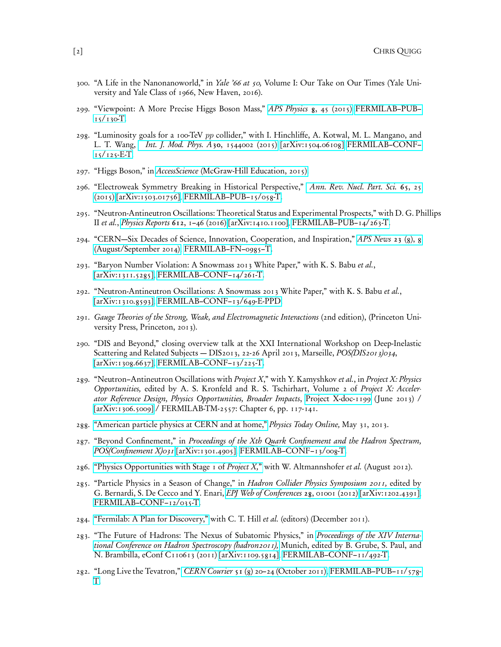- 300. "A Life in the Nanonanoworld," in *Yale '66 at 50*, Volume I: Our Take on Our Times (Yale University and Yale Class of 1966, New Haven, 2016).
- 299. "Viewpoint: A More Precise Higgs Boson Mass," [APS Physics](https://dx.doi.org/10.1103/Physics.8.45) 8, 45 (2015) [FERMILAB–PUB–](http://fnalpubs.fnal.gov/archive/2015/pub/fermilab-pub-15-130-t.pdf)  $15/130$ -T.
- 298. "Luminosity goals for a 100-TeV pp collider," with I. Hinchliffe, A. Kotwal, M. L. Mangano, and L. T. Wang, [Int. J. Mod. Phys. A](https://dx.doi.org/10.1142/S0217751X15440029)30, 1544002 (2015) [\[arXiv:1504.06108\]](http://arXiv.org/abs/1504.06108) [FERMILAB–CONF–](http://fnalpubs.fnal.gov/archive/2015/conf/fermilab-conf-15-125-e-t.pdf)  $15/125-E$ -T.
- 297. "Higgs Boson," in AccessScience [\(McGraw-Hill Education, 2015\).](https://dx.doi.org/10.1036/1097-8542.317875)
- 296. "Electroweak Symmetry Breaking in Historical Perspective," [Ann. Rev. Nucl. Part. Sci.](https://dx.doi.org/10.1146/annurev-nucl-102313-025537) 65, 25 [\(2015\)](https://dx.doi.org/10.1146/annurev-nucl-102313-025537) [\[arXiv:1503.01756\],](http://arXiv.org/abs/1503.01756) [FERMILAB–PUB–15/058-T.](http://fnalpubs.fnal.gov/archive/2015/pub/fermilab-pub-15-058-t.pdf)
- 295. "Neutron-Antineutron Oscillations: Theoretical Status and Experimental Prospects," with D. G. Phillips II et al., [Physics Reports](https://dx.doi.org/10.1016/j.physrep.2015.11.001) 612,  $1-46$  (2016) [\[arXiv:1410.1100\],](http://arXiv.org/abs/1410.1100) [FERMILAB–PUB–14/263-T.](http://fnalpubs.fnal.gov/archive/2014/pub/fermilab-pub-14-263-t.pdf)
- 294. "CERN—Six Decades of Science, Innovation, Cooperation, and Inspiration," [APS News](http://www.aps.org/publications/apsnews/201409/backpage.cfm) 23 (8), 8 [\(August/September 2014\),](http://www.aps.org/publications/apsnews/201409/backpage.cfm) [FERMILAB–FN–0985–T.](http://lss.fnal.gov/archive/test-fn/0000/fermilab-fn-0985-t.pdf)
- 293. "Baryon Number Violation: A Snowmass 2013 White Paper," with K. S. Babu et al., [\[arXiv:1311.5285\],](http://arXiv.org/abs/1311.5285) [FERMILAB–CONF–14/261-T.](http://fnalpubs.fnal.gov/archive/2014/conf/fermilab-conf-14-261-t.pdf)
- 292. "Neutron-Antineutron Oscillations: A Snowmass 2013 White Paper," with K. S. Babu et al., [\[arXiv:1310.8593\],](http://arXiv.org/abs/1310.8593) [FERMILAB–CONF–13/649-E-PPD.](http://fnalpubs.fnal.gov/archive/2013/conf/fermilab-conf-13-649-e-ppd.pdf)
- 291. Gauge Theories of the Strong, Weak, and Electromagnetic Interactions (2nd edition), (Princeton University Press, Princeton, 2013).
- 290. "DIS and Beyond," closing overview talk at the XXI International Workshop on Deep-Inelastic Scattering and Related Subjects — DIS2013, 22-26 April 2013, Marseille, POS(DIS2013)034, [\[arXiv:1308.6637\],](http://arXiv.org/abs/1308.6637) [FERMILAB–CONF–13/225-T.](http://fnalpubs.fnal.gov/archive/2013/conf/fermilab-conf-13-225-t.pdf)
- 289. "Neutron–Antineutron Oscillations with Project X," with Y. Kamyshkov et al., in Project X: Physics Opportunities, edited by A. S. Kronfeld and R. S. Tschirhart, Volume 2 of Project X: Accelerator Reference Design, Physics Opportunities, Broader Impacts, [Project X-doc-1199](http://projectx-docdb.fnal.gov/cgi-bin/ShowDocument?docid=1199) ( June 2013) / [\[arXiv:1306.5009\]](http://arXiv.org/abs/1306.5009) / FERMILAB-TM-2557: Chapter 6, pp. 117-141.
- 288. ["American particle physics at CERN and at home,"](http://scitation.aip.org/content/aip/magazine/physicstoday/news/10.1063/PT.4.2472) Physics Today Online, May 31, 2013.
- 287. "Beyond Confinement," in Proceedings of the Xth Quark Confinement and the Hadron Spectrum, [POS\(Confinement X\)031](http://pos.sissa.it/archive/conferences/171/031/Confinement%20X_031.pdf) [\[arXiv:1301.4905\],](http://arXiv.org/abs/1301.4905) FERMILAB-CONF-13/008-T.
- 286. ["Physics Opportunities with Stage 1 of](http://www.fnal.gov/directorate/lbne_reconfiguration/files/LBNE-Reconfiguration-ProjectX-Stage1-August2012.pdf) Project X," with W. Altmannshofer et al. (August 2012).
- 285. "Particle Physics in a Season of Change," in *Hadron Collider Physics Symposium 2011*, edited by G. Bernardi, S. De Cecco and Y. Enari, [EPJ Web of Conferences](https://dx.doi.org/10.1051/epjconf/20122801001) 28, 01001 (2012) [\[arXiv:1202.4391\],](http://arXiv.org/abs/1202.4391) [FERMILAB–CONF–12/035-T.](http://fnalpubs.fnal.gov/archive/2012/conf/fermilab-conf-12-035-t.pdf)
- 284. ["Fermilab: A Plan for Discovery,"](https://www.fnal.gov/directorate/plan_for_discovery/pdfs/Plan_for_Discovery_20111201.pdf) with C. T. Hill et al. (editors) (December 2011).
- 283. "The Future of Hadrons: The Nexus of Subatomic Physics," in [Proceedings of the XIV Interna](http://www.slac.stanford.edu/econf/C110613/contributions/207-hadron2011.pdf)[tional Conference on Hadron Spectroscopy \(hadron2011\),](http://www.slac.stanford.edu/econf/C110613/contributions/207-hadron2011.pdf) Munich, edited by B. Grube, S. Paul, and N. Brambilla, eConf C110613 (2011) [\[arXiv:1109.5814\],](http://arXiv.org/abs/1109.5814) [FERMILAB–CONF–11/492-T.](http://fnalpubs.fnal.gov/archive/2011/conf/fermilab-conf-11-492-t.pdf)
- 282. "Long Live the Tevatron," CERN Courier 51 [\(8\) 20–24 \(October 2011\),](http://cerncourier.com/cws/article/cern/47206) [FERMILAB–PUB–11/578-](http://fnalpubs.fnal.gov/archive/2011/pub/fermilab-pub-11-578-t.pdf) [T.](http://fnalpubs.fnal.gov/archive/2011/pub/fermilab-pub-11-578-t.pdf)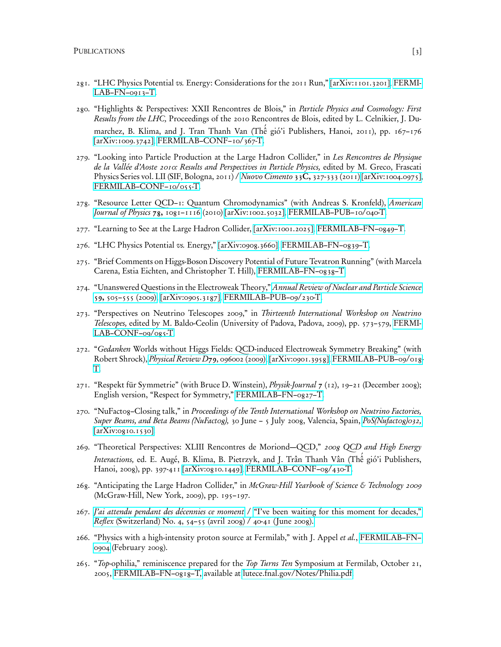- 281. "LHC Physics Potential vs. Energy: Considerations for the 2011 Run," [\[arXiv:1101.3201\],](http://arXiv.org/abs/1101.3201) [FERMI-](http://lss.fnal.gov/archive/test-fn/0000/fermilab-fn-0913-t.pdf)[LAB–FN–0913–T.](http://lss.fnal.gov/archive/test-fn/0000/fermilab-fn-0913-t.pdf)
- 280. "Highlights & Perspectives: XXII Rencontres de Blois," in Particle Physics and Cosmology: First Results from the LHC, Proceedings of the 2010 Rencontres de Blois, edited by L. Celnikier, J. Dumarchez, B. Klima, and J. Tran Thanh Van (Thế gió'i Publishers, Hanoi, 2011), pp. 167-176 [\[arXiv:1009.3742\],](http://arXiv.org/abs/1009.3742) [FERMILAB–CONF–10/367-T.](http://fnalpubs.fnal.gov/archive/2010/conf/fermilab-conf-10-367-t.pdf)
- 279. "Looking into Particle Production at the Large Hadron Collider," in Les Rencontres de Physique de la Vallée d'Aoste 2010: Results and Perspectives in Particle Physics, edited by M. Greco, Frascati Physics Series vol. LII (SIF, Bologna, 2011) / [Nuovo Cimento](https://dx.doi.org/10.1393/ncc/i2011-10734-0) 33C, 327-333 (2011) [\[arXiv:1004.0975\],](http://arXiv.org/abs/1004.0975) [FERMILAB–CONF–10/055-T.](http://fnalpubs.fnal.gov/archive/2010/conf/fermilab-conf-10-055-t.pdf)
- 278. "Resource Letter QCD-1: Quantum Chromodynamics" (with Andreas S. Kronfeld), [American](https://dx.doi.org/10.1119/1.3454865) [Journal of Physics](https://dx.doi.org/10.1119/1.3454865)  $78, 1081-1116$  (2010) [\[arXiv:1002.5032\],](http://arXiv.org/abs/1002.5032) FERMILAB-PUB-10/040-T.
- 277. "Learning to See at the Large Hadron Collider, [\[arXiv:1001.2025\],](http://arXiv.org/abs/1001.2025) [FERMILAB–FN–0849–T.](http://lss.fnal.gov/archive/test-fn/0000/fermilab-fn-0849-t.pdf)
- 276. "LHC Physics Potential vs. Energy," [\[arXiv:0908.3660\],](http://arXiv.org/abs/0908.3660) [FERMILAB–FN–0839–T.](http://lss.fnal.gov/archive/test-fn/0000/fermilab-fn-0839-t.pdf)
- 275. "Brief Comments on Higgs-Boson Discovery Potential of Future Tevatron Running" (with Marcela Carena, Estia Eichten, and Christopher T. Hill), [FERMILAB–FN–0838–T.](http://lss.fnal.gov/archive/test-fn/0000/fermilab-fn-0838-t.pdf)
- 274. "Unanswered Questions in the Electroweak Theory," [Annual Review of Nuclear and Particle Science](https://dx.doi.org/10.1146/annurev.nucl.010909.083126) 59, [505–555 \(2009\),](https://dx.doi.org/10.1146/annurev.nucl.010909.083126) [\[arXiv:0905.3187\],](http://arXiv.org/abs/0905.3187) [FERMILAB–PUB–09/230-T.](http://fnalpubs.fnal.gov/archive/2009/pub/fermilab-pub-09-230-t.pdf)
- 273. "Perspectives on Neutrino Telescopes 2009," in Thirteenth International Workshop on Neutrino Telescopes, edited by M. Baldo-Ceolin (University of Padova, Padova, 2009), pp. 573–579, [FERMI-](http://fnalpubs.fnal.gov/archive/2009/conf/fermilab-conf-09-085-t.pdf)LAB-CONF-09/085-T.
- 272. "Gedanken Worlds without Higgs Fields: QCD-induced Electroweak Symmetry Breaking" (with Robert Shrock), [Physical Review D](http://link.aps.org/abstract/PRD/v79/e096002)79, 096002 (2009), [\[arXiv:0901.3958\],](http://arXiv.org/abs/0901.3958) [FERMILAB–PUB–09/018-](http://fnalpubs.fnal.gov/archive/2009/pub/fermilab-pub-09-018-t.pdf) [T.](http://fnalpubs.fnal.gov/archive/2009/pub/fermilab-pub-09-018-t.pdf)
- 271. "Respekt für Symmetrie" (with Bruce D. Winstein), *Physik-Journal* 7 (12), 19–21 (December 2008); English version, "Respect for Symmetry," [FERMILAB–FN–0827–T.](http://lss.fnal.gov/archive/test-fn/0000/fermilab-fn-0827-t.pdf)
- 270. "NuFact08–Closing talk," in Proceedings of the Tenth International Workshop on Neutrino Factories, Super Beams, and Beta Beams (NuFactog), 30 June - 5 July 2008, Valencia, Spain, PoS(Nufactog)032, [\[arXiv:0810.1530\].](http://arXiv.org/abs/0810.1530)
- 269. "Theoretical Perspectives: XLIII Rencontres de Moriond—QCD," 2008 QCD and High Energy I*nteractions*, ed. E. Augé, B. Klima, B. Pietrzyk, and J. Trân Thanh Vân (Thế gió'i Publishers, Hanoi, 2008), pp. 397-411 [\[arXiv:0810.1449\],](http://arXiv.org/abs/0810.1449) [FERMILAB–CONF–08/430-T.](http://fnalpubs.fnal.gov/archive/2008/conf/fermilab-conf-08-430-t.pdf)
- 268. "Anticipating the Large Hadron Collider," in McGraw-Hill Yearbook of Science & Technology 2009 (McGraw-Hill, New York, 2009), pp. 195–197.
- 267. [J'ai attendu pendant des décennies ce moment](http://www.reflexmagazine.ch/pdf/Reflex_n4_FR.pdf#page=56) / ["I've been waiting for this moment for decades,"](http://www.reflexmagazine.ch/pdf/Reflex_n4_EN.pdf#page=27) Reflex [\(Switzerland\) No. 4, 54–55 \(avril 2008\) / 40-41 \( June 2008\).](http://www.reflexmagazine.ch)
- 266. "Physics with a high-intensity proton source at Fermilab," with J. Appel et al., [FERMILAB–FN–](http://lss.fnal.gov/archive/test-fn/0000/fermilab-fn-0904.shtml) [0904](http://lss.fnal.gov/archive/test-fn/0000/fermilab-fn-0904.shtml) (February 2008).
- 265. "Top-ophilia," reminiscence prepared for the Top Turns Ten Symposium at Fermilab, October 21, 2005, [FERMILAB–FN–0818–T,](http://lss.fnal.gov/archive/test-fn/0000/fermilab-fn-0818-t.pdf) available at [lutece.fnal.gov/Notes/Philia.pdf.](http://lutece.fnal.gov/Notes/Philia.pdf)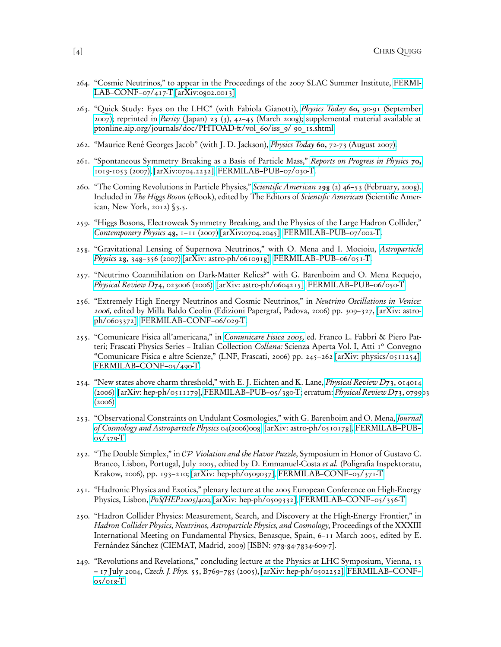- 264. "Cosmic Neutrinos," to appear in the Proceedings of the 2007 SLAC Summer Institute, [FERMI-](http://fnalpubs.fnal.gov/archive/2007/conf/fermilab-conf-07-417-t.pdf)[LAB–CONF–07/417-T](http://fnalpubs.fnal.gov/archive/2007/conf/fermilab-conf-07-417-t.pdf) [\[arXiv:0802.0013\].](http://arXiv.org/abs/0802.0013)
- 263. "Quick Study: Eyes on the LHC" (with Fabiola Gianotti), Physics Today 60, [90-91 \(September](http://dx.doi.org/10.1063/1.2784701) [2007\);](http://dx.doi.org/10.1063/1.2784701) reprinted in *Parity* (Japan) 23 [\(3\), 42–45 \(March 2008\);](http://pub.maruzen.co.jp/book_magazine/magazine/parity-back/parity2008/2008_03/803_cont.html) supplemental material available at [ptonline.aip.org/journals/doc/PHTOAD-ft/vol\\_60/iss\\_9/ 90\\_1s.shtml.](http://ptonline.aip.org/journals/doc/PHTOAD-ft/vol_60/iss_9/90_1s.shtml)
- 262. "Maurice René Georges Jacob" (with J. D. Jackson), Physics Today 60, [72-73 \(August 2007\).](https://dx.doi.org/10.1063/1.2774112)
- 261. "Spontaneous Symmetry Breaking as a Basis of Particle Mass," [Reports on Progress in Physics](https://dx.doi.org/10.1088/0034-4885/70/7/R01) 70, [1019-1053 \(2007\),](https://dx.doi.org/10.1088/0034-4885/70/7/R01) [\[arXiv:0704.2232\],](http://arXiv.org/abs/0704.2232) [FERMILAB–PUB–07/030-T.](http://fnalpubs.fnal.gov/archive/2007/pub/fermilab-pub-07-030-t.pdf)
- 260. "The Coming Revolutions in Particle Physics," Scientific American 298 [\(2\) 46–53 \(February, 2008\).](http://www.sciam.com/article.cfm?id=the-coming-revolutions-in-particle-physics) Included in The Higgs Boson (eBook), edited by The Editors of Scientific American (Scientific American, New York, 2012) §3.5.
- 259. "Higgs Bosons, Electroweak Symmetry Breaking, and the Physics of the Large Hadron Collider," [Contemporary Physics](https://dx.doi.org/10.1080/00107510701292187) 48, 1–11 (2007) [\[arXiv:0704.2045\],](http://arXiv.org/abs/0704.2045) [FERMILAB–PUB–07/002-T.](http://fnalpubs.fnal.gov/archive/2007/pub/fermilab-pub-07-002-t.pdf)
- 258. "Gravitational Lensing of Supernova Neutrinos," with O. Mena and I. Mocioiu, [Astroparticle](https://dx.doi.org/10.1016/j.astropartphys.2007.07.002) *Physics* 28[, 348–356 \(2007\)](https://dx.doi.org/10.1016/j.astropartphys.2007.07.002) [\[arXiv: astro-ph/0610918\],](http://arXiv.org/abs/astro-ph/0610918) [FERMILAB–PUB–06/051-T.](http://fnalpubs.fnal.gov/archive/2006/pub/fermilab-pub-06-051-t.pdf)
- 257. "Neutrino Coannihilation on Dark-Matter Relics?" with G. Barenboim and O. Mena Requejo, [Physical Review D](http://link.aps.org/abstract/PRD/v74/e023006)74, 023006 (2006),  $arXiv:$  astro-ph/0604215], [FERMILAB–PUB–06/050-T.](http://fnalpubs.fnal.gov/archive/2006/pub/fermilab-pub-06-050-t.pdf)
- 256. "Extremely High Energy Neutrinos and Cosmic Neutrinos," in Neutrino Oscillations in Venice: 2006, edited by Milla Baldo Ceolin (Edizioni Papergraf, Padova, 2006) pp. 309–327, [\[arXiv: astro](http://arXiv.org/abs/astro-ph/0603372)[ph/0603372\],](http://arXiv.org/abs/astro-ph/0603372) [FERMILAB–CONF–06/029-T.](http://fnalpubs.fnal.gov/archive/2006/conf/fermilab-conf-06-029-t.pdf)
- 255. "Comunicare Fisica all'americana," in [Comunicare Fisica 2005,](http://www.lnf.infn.it/sis/frascatiseries/italiancollection/index_ita.php) ed. Franco L. Fabbri & Piero Patteri; Frascati Physics Series - Italian Collection Collana: Scienza Aperta Vol. I, Atti 1º Convegno "Comunicare Fisica e altre Scienze," (LNF, Frascati, 2006) pp. 245–262 [\[arXiv: physics/0511254\],](http://arXiv.org/abs/physics/0511254) [FERMILAB–CONF–05/490-T.](http://fnalpubs.fnal.gov/archive/2005/conf/fermilab-conf-05-490-t.pdf)
- 254. "New states above charm threshold," with E. J. Eichten and K. Lane, *[Physical Review D](http://link.aps.org/abstract/PRD/v73/e014014)*73, 014014  $(2006)$ ,  $[arXiv: hep-ph/0511179]$ , [FERMILAB–PUB–05/380-T;](http://fnalpubs.fnal.gov/archive/2005/pub/fermilab-pub-05-380-t.pdf) erratum: *[Physical Review D](http://link.aps.org/abstract/PRD/v73/e079903)*73, 079903 [\(2006\).](http://link.aps.org/abstract/PRD/v73/e079903)
- 253. "Observational Constraints on Undulant Cosmologies," with G. Barenboim and O. Mena, [Journal](http://www.iop.org/EJ/abstract/1475-7516/2006/04/008) [of Cosmology and Astroparticle Physics](http://www.iop.org/EJ/abstract/1475-7516/2006/04/008) 04(2006)008, [\[arXiv: astro-ph/0510178\],](http://arXiv.org/abs/astro-ph/0510178) [FERMILAB–PUB–](http://fnalpubs.fnal.gov/archive/2005/pub/fermilab-pub-05-379-t.pdf) [05/379-T.](http://fnalpubs.fnal.gov/archive/2005/pub/fermilab-pub-05-379-t.pdf)
- 252. "The Double Simplex," in CP Violation and the Flavor Puzzle, Symposium in Honor of Gustavo C. Branco, Lisbon, Portugal, July 2005, edited by D. Emmanuel-Costa et al. (Poligrafia Inspektoratu, Krakow, 2006), pp. 193–210; [\[arXiv: hep-ph/0509037\],](http://arXiv.org/abs/hep-ph/0509037) [FERMILAB–CONF–05/371-T.](http://fnalpubs.fnal.gov/archive/2005/conf/fermilab-conf-05-371-t.pdf)
- 251. "Hadronic Physics and Exotics," plenary lecture at the 2005 European Conference on High-Energy Physics, Lisbon,  $PoS/HEP2005/400$ , [\[arXiv: hep-ph/0509332\],](http://arXiv.org/abs/hep-ph/0509332) [FERMILAB–CONF–05/356-T.](http://fnalpubs.fnal.gov/archive/2005/conf/fermilab-conf-05-356-t.pdf)
- 250. "Hadron Collider Physics: Measurement, Search, and Discovery at the High-Energy Frontier," in Hadron Collider Physics, Neutrinos, Astroparticle Physics, and Cosmology, Proceedings of the XXXIII International Meeting on Fundamental Physics, Benasque, Spain, 6–11 March 2005, edited by E. Fernández Sánchez (CIEMAT, Madrid, 2009) [ISBN: 978-84-7834-609-7].
- 249. "Revolutions and Revelations," concluding lecture at the Physics at LHC Symposium, Vienna, 13 – 17 July 2004, Czech. J. Phys. 55, B769–785 (2005), [\[arXiv: hep-ph/0502252\],](http://arXiv.org/abs/hep-ph/0502252) [FERMILAB–CONF–](http://fnalpubs.fnal.gov/archive/2005/conf/fermilab-conf-05-018-t.pdf) [05/018-T.](http://fnalpubs.fnal.gov/archive/2005/conf/fermilab-conf-05-018-t.pdf)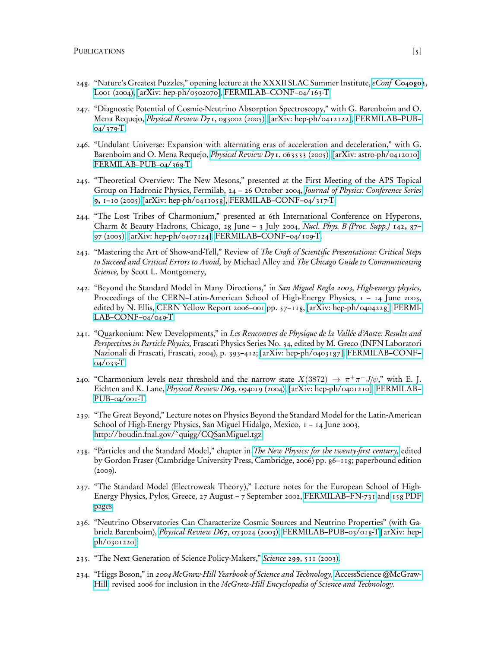- 248. "Nature's Greatest Puzzles," opening lecture at the XXXII SLAC Summer Institute, eConf [C040802](http://www.slac.stanford.edu/econf/C040802/papers/L001.PDF), Loo1 (2004), [\[arXiv: hep-ph/0502070\],](http://arXiv.org/abs/hep-ph/0502070) [FERMILAB–CONF–04/163-T.](http://fnalpubs.fnal.gov/archive/2004/conf/fermilab-conf-04-163-t.pdf)
- 247. "Diagnostic Potential of Cosmic-Neutrino Absorption Spectroscopy," with G. Barenboim and O. Mena Requejo, [Physical Review D](http://link.aps.org/abstract/PRD/v71/e083002)71, 083002 (2005), [\[arXiv: hep-ph/0412122\],](http://arXiv.org/abs/hep-ph/0412122) [FERMILAB–PUB–](http://fnalpubs.fnal.gov/archive/2004/pub/fermilab-pub-04-379-t.pdf) [04/379-T.](http://fnalpubs.fnal.gov/archive/2004/pub/fermilab-pub-04-379-t.pdf)
- 246. "Undulant Universe: Expansion with alternating eras of acceleration and deceleration," with G. Barenboim and O. Mena Requejo, *[Physical Review D](http://link.aps.org/abstract/PRD/v71/e063533)*71, 063533 (2005), [\[arXiv: astro-ph/0412010\],](http://arXiv.org/abs/astro-ph/0412010) FERMILAB-PUB-04/368-T.
- 245. "Theoretical Overview: The New Mesons," presented at the First Meeting of the APS Topical Group on Hadronic Physics, Fermilab, 24 – 26 October 2004, [Journal of Physics: Conference Series](https://dx.doi.org/doi:10.1088/1742-6596/9/1/001) 9, [1–10 \(2005\)](https://dx.doi.org/doi:10.1088/1742-6596/9/1/001) [\[arXiv: hep-ph/0411058\],](http://arXiv.org/abs/hep-ph/0411058) [FERMILAB–CONF–04/317-T.](http://fnalpubs.fnal.gov/archive/2004/conf/fermilab-conf-04-317-t.pdf)
- 244. "The Lost Tribes of Charmonium," presented at 6th International Conference on Hyperons, Charm & Beauty Hadrons, Chicago, 28 June – 3 July 2004, [Nucl. Phys. B \(Proc. Supp.\)](https://dx.doi.org/10.1016/j.nuclphysbps.2005.01.016) 142, 87– [97 \(2005\),](https://dx.doi.org/10.1016/j.nuclphysbps.2005.01.016) [\[arXiv: hep-ph/0407124\],](http://arXiv.org/abs/hep-ph/0407124) [FERMILAB–CONF–04/109-T.](http://fnalpubs.fnal.gov/archive/2004/conf/fermilab-conf-04-109-t.pdf)
- 243. "Mastering the Art of Show-and-Tell," Review of The Craft of Scientific Presentations: Critical Steps to Succeed and Critical Errors to Avoid, by Michael Alley and The Chicago Guide to Communicating Science, by Scott L. Montgomery,
- 242. "Beyond the Standard Model in Many Directions," in San Miguel Regla 2003, High-energy physics, Proceedings of the CERN–Latin-American School of High-Energy Physics, 1 – 14 June 2003, edited by N. Ellis, [CERN Yellow Report 2006–001](http://preprints.cern.ch/cernrep/2006/2006-001/2006-001.html) pp. 57–118, [\[arXiv: hep-ph/0404228\],](http://arXiv.org/abs/hep-ph/0404228) [FERMI-](http://fnalpubs.fnal.gov/archive/2004/conf/fermilab-conf-04-049-t.pdf)[LAB–CONF–04/049-T.](http://fnalpubs.fnal.gov/archive/2004/conf/fermilab-conf-04-049-t.pdf)
- 241. "Quarkonium: New Developments," in Les Rencontres de Physique de la Vallée d'Aoste: Results and Perspectives in Particle Physics, Frascati Physics Series No. 34, edited by M. Greco (INFN Laboratori Nazionali di Frascati, Frascati, 2004), p. 393–412; [\[arXiv: hep-ph/0403187\],](http://arXiv.org/abs/hep-ph/0403187) [FERMILAB–CONF–](http://fnalpubs.fnal.gov/archive/2004/conf/fermilab-conf-04-033-t.pdf) [04/033-T.](http://fnalpubs.fnal.gov/archive/2004/conf/fermilab-conf-04-033-t.pdf)
- 240. "Charmonium levels near threshold and the narrow state  $X(3872) \rightarrow \pi^{+}\pi^{-}J/\psi$ ," with E. J. Eichten and K. Lane, [Physical Review D](http://link.aps.org/abstract/PRD/v69/e094019)69, 094019 (2004), [\[arXiv: hep-ph/0401210\],](http://arXiv.org/abs/hep-ph/0401210) [FERMILAB–](http://fnalpubs.fnal.gov/archive/2004/pub/fermilab-pub-04-001-t.pdf) PUB-04/001-T.
- 239. "The Great Beyond," Lecture notes on Physics Beyond the Standard Model for the Latin-American School of High-Energy Physics, San Miguel Hidalgo, Mexico, 1 – 14 June 2003, [http://boudin.fnal.gov/˜quigg/CQSanMiguel.tgz.](http://boudin.fnal.gov/~quigg/CQSanMiguel.tgz)
- 238. "Particles and the Standard Model," chapter in [The New Physics: for the twenty-first century,](http://www.cambridge.org/catalogue/catalogue.asp?isbn=9780521140027) edited by Gordon Fraser (Cambridge University Press, Cambridge, 2006) pp. 86–118; paperbound edition  $(2009)$ .
- 237. "The Standard Model (Electroweak Theory)," Lecture notes for the European School of High-Energy Physics, Pylos, Greece, 27 August – 7 September 2002, [FERMILAB–FN-731](http://fnalpubs.fnal.gov/archive/2003/fn/fermilab-fn-0731.html) and [158 PDF](http://lutece.fnal.gov/Talks/CQPylos.pdf) [pages.](http://lutece.fnal.gov/Talks/CQPylos.pdf)
- 236. "Neutrino Observatories Can Characterize Cosmic Sources and Neutrino Properties" (with Gabriela Barenboim), [Physical Review D](http://link.aps.org/abstract/PRD/v67/e073024)67, 073024 (2003), [FERMILAB–PUB–03/018-T](http://fnalpubs.fnal.gov/archive/2003/pub/Pub-03-018-T.pdf) [\[arXiv: hep](http://arXiv.org/abs/hep-ph/0301220)[ph/0301220\].](http://arXiv.org/abs/hep-ph/0301220)
- 235. "The Next Generation of Science Policy-Makers," Science 299[, 511 \(2003\).](http://www.sciencemag.org/cgi/content/full/299/5606/511d)
- 234. "Higgs Boson," in 2004 McGraw-Hill Yearbook of Science and Technology, [AccessScience @McGraw-](https://dx.doi.org/10.1036/1097-8542.YB040100)[Hill;](https://dx.doi.org/10.1036/1097-8542.YB040100) revised 2006 for inclusion in the McGraw-Hill Encyclopedia of Science and Technology.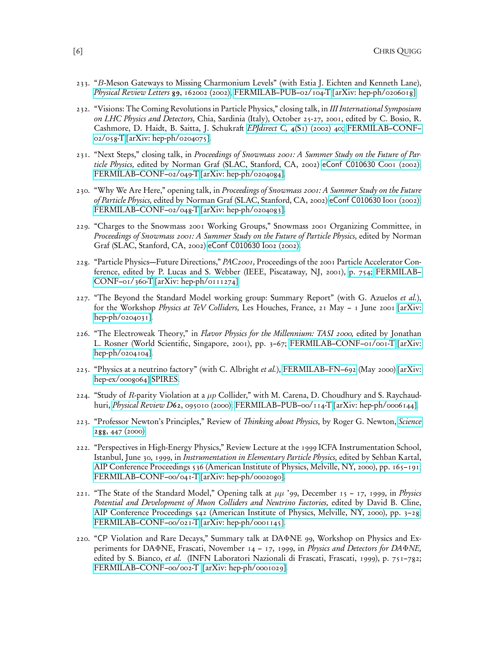- 233. "B-Meson Gateways to Missing Charmonium Levels" (with Estia J. Eichten and Kenneth Lane), [Physical Review Letters](http://link.aps.org/abstract/PRL/v89/p162002) 89, 162002 (2002), [FERMILAB–PUB–02/104-T](http://fnalpubs.fnal.gov/archive/2002/pub/Pub-02-104-T.pdf) [\[arXiv: hep-ph/0206018\].](http://arXiv.org/abs/hep-ph/0206018)
- 232. "Visions: The Coming Revolutions in Particle Physics," closing talk, in III International Symposium on LHC Physics and Detectors, Chia, Sardinia (Italy), October 25-27, 2001, edited by C. Bosio, R. Cashmore, D. Haidt, B. Saitta, J. Schukraft EPJdirect C, 4[\(S1\) \(2002\) 40;](http://www.springerlink.com/openurl.asp?genre=article&id=doi:10.1007/s1010502cs140) [FERMILAB–CONF–](http://fnalpubs.fnal.gov/archive/2002/conf/Conf-02-058-T.pdf)  $02/058$ -T [\[arXiv: hep-ph/0204075\].](http://arXiv.org/abs/hep-ph/0204075)
- 231. "Next Steps," closing talk, in Proceedings of Snowmass 2001: A Summer Study on the Future of Particle Physics, edited by Norman Graf (SLAC, Stanford, CA, 2002) [eConf C010630](http://www.slac.stanford.edu/econf/C010630/papers/C001.PDF) Coo1 (2002); [FERMILAB–CONF–02/049-T](http://fnalpubs.fnal.gov/archive/2002/conf/Conf-02-049-T.pdf) [\[arXiv: hep-ph/0204084\].](http://arXiv.org/abs/hep-ph/0204084)
- 230. "Why We Are Here," opening talk, in Proceedings of Snowmass 2001: A Summer Study on the Future of Particle Physics, edited by Norman Graf (SLAC, Stanford, CA, 2002) [eConf C010630](http://www.slac.stanford.edu/econf/C010630/papers/I001.PDF) I001 (2002); [FERMILAB–CONF–02/048-T](http://fnalpubs.fnal.gov/archive/2002/conf/Conf-02-048-T.pdf) [\[arXiv: hep-ph/0204083\].](http://arXiv.org/abs/hep-ph/0204083)
- 229. "Charges to the Snowmass 2001 Working Groups," Snowmass 2001 Organizing Committee, in Proceedings of Snowmass 2001: A Summer Study on the Future of Particle Physics, edited by Norman Graf (SLAC, Stanford, CA, 2002) [eConf C010630](http://www.slac.stanford.edu/econf/C010630/papers/I002.PDF) I002 (2002).
- 228. "Particle Physics—Future Directions," PAC2001, Proceedings of the 2001 Particle Accelerator Conference, edited by P. Lucas and S. Webber (IEEE, Piscataway, NJ, 2001), [p. 754;](http://accelconf.web.cern.ch/AccelConf/p01/PAPERS/FOPL001.PDF) [FERMILAB–](http://fnalpubs.fnal.gov/archive/2001/conf/Conf-01-360-T.pdf) [CONF–01/360-T](http://fnalpubs.fnal.gov/archive/2001/conf/Conf-01-360-T.pdf) [\[arXiv: hep-ph/0111274\].](http://arXiv.org/abs/hep-ph/0111274)
- 227. "The Beyond the Standard Model working group: Summary Report" (with G. Azuelos et al.), for the Workshop Physics at TeV Colliders, Les Houches, France, 21 May – 1 June 2001 [\[arXiv:](http://arXiv.org/abs/hep-ph/0204031) [hep-ph/0204031\].](http://arXiv.org/abs/hep-ph/0204031)
- 226. "The Electroweak Theory," in Flavor Physics for the Millennium: TASI 2000, edited by Jonathan L. Rosner (World Scientific, Singapore, 2001), pp. 3–67; [FERMILAB–CONF–01/001-T](http://fnalpubs.fnal.gov/archive/2001/conf/Conf-01-001-T.pdf) [\[arXiv:](http://arXiv.org/abs/hep-ph/0204104) [hep-ph/0204104\].](http://arXiv.org/abs/hep-ph/0204104)
- 225. "Physics at a neutrino factory" (with C. Albright et al.), [FERMILAB–FN–692](http://www-lib.fnal.gov/archive/2000/fn/FN-692.html) (May 2000) [\[arXiv:](http://arXiv.org/abs/hep-ex/0008064) [hep-ex/0008064\]](http://arXiv.org/abs/hep-ex/0008064) [SPIRES.](http://www.slac.stanford.edu/spires/find/hep/www?rawcmd=FIND+EPRINT+HEP-EX/0008064)
- 224. "Study of R-parity Violation at a  $\mu p$  Collider," with M. Carena, D. Choudhury and S. Raychaudhuri, [Physical Review D](http://link.aps.org/abstract/PRD/v62/e095010)62, 095010 (2000); [FERMILAB–PUB–00/114-T](http://fnalpubs.fnal.gov/archive/2000/pub/Pub-00-114-T.pdf) [\[arXiv: hep-ph/0006144\].](http://arXiv.org/abs/hep-ph/0006144)
- 223. "Professor Newton's Principles," Review of Thinking about Physics, by Roger G. Newton, [Science](http://www.sciencemag.org/cgi/content/full/288/5465/447) 288[, 447 \(2000\).](http://www.sciencemag.org/cgi/content/full/288/5465/447)
- 222. "Perspectives in High-Energy Physics," Review Lecture at the 1999 ICFA Instrumentation School, Istanbul, June 30, 1999, in Instrumentation in Elementary Particle Physics, edited by Sehban Kartal, [AIP Conference Proceedings 536 \(American Institute of Physics, Melville, NY, 2000\), pp. 165–191;](http://proceedings.aip.org/resource/2/apcpcs/536/1/165_1) [FERMILAB–CONF–00/041-T](http://fnalpubs.fnal.gov/archive/2000/conf/Conf-00-041-T.pdf) [\[arXiv: hep-ph/0002080\].](http://arXiv.org/abs/hep-ph/0002080)
- 221. "The State of the Standard Model," Opening talk at  $\mu\mu$  '99, December 15 17, 1999, in Physics Potential and Development of Muon Colliders and Neutrino Factories, edited by David B. Cline, [AIP Conference Proceedings 542 \(American Institute of Physics, Melville, NY, 2000\), pp. 3–28;](http://proceedings.aip.org/resource/2/apcpcs/542/1/3_1) FERMILAB-CONF-00/021-T [\[arXiv: hep-ph/0001145\].](http://arXiv.org/abs/hep-ph/0001145)
- 220. "CP Violation and Rare Decays," Summary talk at DAΦNE 99, Workshop on Physics and Experiments for DAΦNE, Frascati, November 14 – 17, 1999, in Physics and Detectors for DAΦNE, edited by S. Bianco, et al. (INFN Laboratori Nazionali di Frascati, Frascati, 1999), p. 751–782; [FERMILAB–CONF–00/002-T](http://fnalpubs.fnal.gov/archive/2000/conf/Conf-00-002-T .pdf) [\[arXiv: hep-ph/0001029\].](http://arXiv.org/abs/hep-ph/0001029)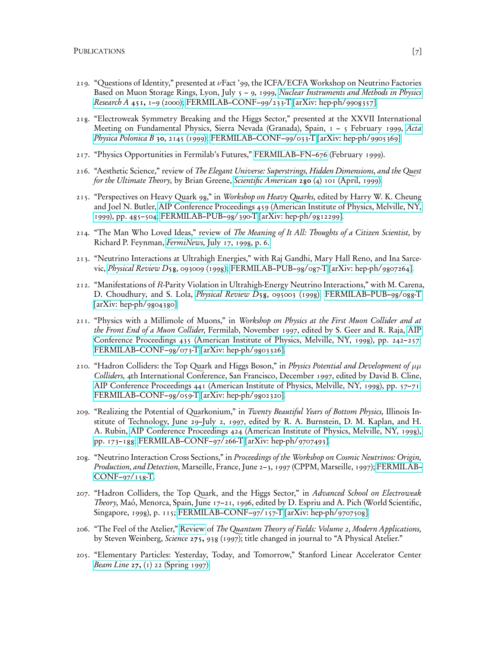- 219. "Questions of Identity," presented at νFact '99, the ICFA/ECFA Workshop on Neutrino Factories Based on Muon Storage Rings, Lyon, July 5 – 9, 1999, [Nuclear Instruments and Methods in Physics](http://www.elsevier.com/gej-ng/29/35/25/90/24/27/summary.html) Research A 451, [1–9 \(2000\);](http://www.elsevier.com/gej-ng/29/35/25/90/24/27/summary.html) [FERMILAB–CONF–99/233-T](http://fnalpubs.fnal.gov/archive/1999/conf/Conf-99-233-T.pdf) [\[arXiv: hep-ph/9908357\].](http://arXiv.org/abs/hep-ph/9908357)
- 218. "Electroweak Symmetry Breaking and the Higgs Sector," presented at the XXVII International Meeting on Fundamental Physics, Sierra Nevada (Granada), Spain,  $1 - 5$  February 1999, [Acta](http://th-www.if.uj.edu.pl/acta/vol30/abs/v30p2145.htm) [Physica Polonica B](http://th-www.if.uj.edu.pl/acta/vol30/abs/v30p2145.htm) 30, 2145 (1999); [FERMILAB–CONF–99/033-T](http://fnalpubs.fnal.gov/archive/1999/conf/Conf-99-033-T.pdf) [\[arXiv: hep-ph/9905369\].](http://arXiv.org/abs/hep-ph/9905369)
- 217. "Physics Opportunities in Fermilab's Futures," [FERMILAB–FN–676](http://fnalpubs.fnal.gov/archive/1999/fn/FN-676.html) (February 1999).
- 216. "Aesthetic Science," review of The Elegant Universe: Superstrings, Hidden Dimensions, and the Quest for the Ultimate Theory, by Brian Greene, Scientific American 280 [\(4\) 101 \(April, 1999\).](http://www.sciam.com/1999/0499issue/0499reviews1.html)
- 215. "Perspectives on Heavy Quark 98," in Workshop on Heavy Quarks, edited by Harry W. K. Cheung and Joel N. Butler, [AIP Conference Proceedings 459 \(American Institute of Physics, Melville, NY,](http://link.aip.org/link/doi/10.1063/1.57777) [1999\), pp. 485–504;](http://link.aip.org/link/doi/10.1063/1.57777) [FERMILAB–PUB–98/390-T](http://fnalpubs.fnal.gov/archive/1998/pub/Pub-98-390-T.pdf) [\[arXiv: hep-ph/9812299\].](http://arXiv.org/abs/hep-ph/9812299)
- 214. "The Man Who Loved Ideas," review of *The Meaning of It All: Thoughts of a Citizen Scientist*, by Richard P. Feynman, FermiNews, [July 17, 1998, p. 6.](http://www.fnal.gov/pub/ferminews/FermiNews98-07-17.pdf)
- 213. "Neutrino Interactions at Ultrahigh Energies," with Raj Gandhi, Mary Hall Reno, and Ina Sarcevic, [Physical Review D](http://link.aps.org/abstract/PRD/v58/e093009)58, 093009 (1998); [FERMILAB–PUB–98/087-T](http://fnalpubs.fnal.gov/archive/1998/pub/Pub-98-087-T.pdf) [\[arXiv: hep-ph/9807264\].](http://arXiv.org/abs/hep-ph/9807264)
- 212. "Manifestations of R-Parity Violation in Ultrahigh-Energy Neutrino Interactions," with M. Carena, D. Choudhury, and S. Lola, [Physical Review D](http://link.aps.org/abstract/PRD/v58/e095003)58, 095003 (1998); [FERMILAB–PUB–98/088-T](http://fnalpubs.fnal.gov/archive/1998/pub/Pub-98-088-T.pdf)  $\left[$ arXiv: hep-ph/9804380].
- 211. "Physics with a Millimole of Muons," in Workshop on Physics at the First Muon Collider and at the Front End of a Muon Collider, Fermilab, November 1997, edited by S. Geer and R. Raja, [AIP](http://proceedings.aip.org/resource/2/apcpcs/435/1/242_1) [Conference Proceedings 435 \(American Institute of Physics, Melville, NY, 1998\), pp. 242–257;](http://proceedings.aip.org/resource/2/apcpcs/435/1/242_1) [FERMILAB–CONF–98/073-T](http://fnalpubs.fnal.gov/archive/1998/conf/Conf-98-073-T.pdf) [\[arXiv: hep-ph/9803326\].](http://arXiv.org/abs/hep-ph/9803326)
- 210. "Hadron Colliders: the Top Quark and Higgs Boson," in Physics Potential and Development of  $\mu\mu$ Colliders, 4th International Conference, San Francisco, December 1997, edited by David B. Cline, [AIP Conference Proceedings 441 \(American Institute of Physics, Melville, NY, 1998\), pp. 57–71;](http://proceedings.aip.org/resource/2/apcpcs/441/1/57_1) [FERMILAB–CONF–98/059-T](http://fnalpubs.fnal.gov/archive/1998/conf/Conf-98-059-T.pdf) [\[arXiv: hep-ph/9802320\].](http://arXiv.org/abs/hep-ph/9802320)
- 209. "Realizing the Potential of Quarkonium," in Twenty Beautiful Years of Bottom Physics, Illinois Institute of Technology, June 29–July 2, 1997, edited by R. A. Burnstein, D. M. Kaplan, and H. A. Rubin, [AIP Conference Proceedings 424 \(American Institute of Physics, Melville, NY, 1998\),](http://proceedings.aip.org/resource/2/apcpcs/424/1/173_1) [pp. 173–188;](http://proceedings.aip.org/resource/2/apcpcs/424/1/173_1) [FERMILAB–CONF–97/266-T](http://fnalpubs.fnal.gov/archive/1997/conf/Conf-97-266-T.pdf) [\[arXiv: hep-ph/9707493\].](http://arXiv.org/abs/hep-ph/9707493)
- 208. "Neutrino Interaction Cross Sections," in Proceedings of the Workshop on Cosmic Neutrinos: Origin, Production, and Detection, Marseille, France, June 2–3, 1997 (CPPM, Marseille, 1997); [FERMILAB–](http://fnalpubs.fnal.gov/archive/1997/conf/Conf-97-158-T.pdf) [CONF–97/158-T.](http://fnalpubs.fnal.gov/archive/1997/conf/Conf-97-158-T.pdf)
- 207. "Hadron Colliders, the Top Quark, and the Higgs Sector," in Advanced School on Electroweak Theory, Maó, Menorca, Spain, June 17–21, 1996, edited by D. Espriu and A. Pich (World Scientific, Singapore, 1998), p. 115; [FERMILAB–CONF–97/157-T](http://fnalpubs.fnal.gov/archive/1997/conf/Conf-97-157-T.pdf) [\[arXiv: hep-ph/9707508\].](http://arXiv.org/abs/hep-ph/9707508)
- 206. "The Feel of the Atelier," [Review](http://lutece.fnal.gov/Reviews/WeinbergAtelier.html) of The Quantum Theory of Fields: Volume 2, Modern Applications, by Steven Weinberg, Science 275, 938 (1997); title changed in journal to "A Physical Atelier."
- 205. "Elementary Particles: Yesterday, Today, and Tomorrow," Stanford Linear Accelerator Center *Beam Line* 27, [\(1\) 22 \(Spring 1997\).](http://www.slac.stanford.edu/pubs/beamline/27/1/27-1-quigg.pdf)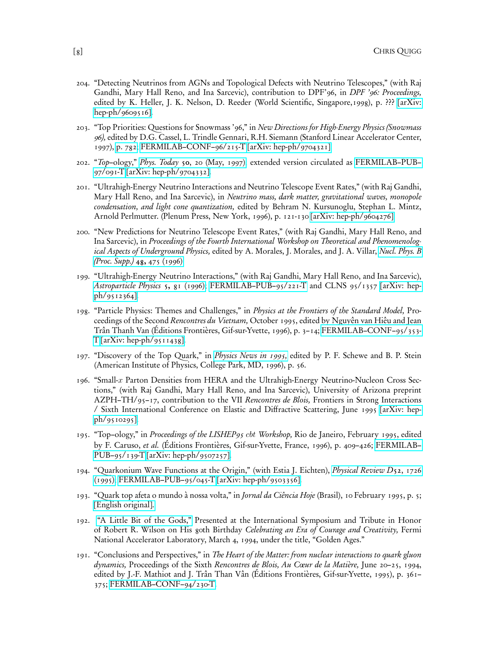- 204. "Detecting Neutrinos from AGNs and Topological Defects with Neutrino Telescopes," (with Raj Gandhi, Mary Hall Reno, and Ina Sarcevic), contribution to DPF'96, in *DPF'96: Proceedings*, edited by K. Heller, J. K. Nelson, D. Reeder (World Scientific, Singapore,1998), p. ??? [\[arXiv:](http://arXiv.org/abs/hep-ph/9609516) [hep-ph/9609516\].](http://arXiv.org/abs/hep-ph/9609516)
- 203. "Top Priorities: Questions for Snowmass '96," in New Directions for High-Energy Physics (Snowmass 96), edited by D.G. Cassel, L. Trindle Gennari, R.H. Siemann (Stanford Linear Accelerator Center, 1997), [p. 782;](http://www.slac.stanford.edu/pubs/snowmass96/PDF/STC121.PDF) [FERMILAB–CONF–96/215-T](http://fnalpubs.fnal.gov/archive/1996/conf/Conf-96-215-T.pdf) [\[arXiv: hep-ph/9704321\].](http://arXiv.org/abs/hep-ph/9704321)
- 202. "Top–ology," Phys. Today 50[, 20 \(May, 1997\);](https://doi.org/10.1063/1.881890) extended version circulated as [FERMILAB–PUB–](http://fnalpubs.fnal.gov/archive/1997/pub/Pub-97-091-T.pdf) [97/091-T](http://fnalpubs.fnal.gov/archive/1997/pub/Pub-97-091-T.pdf) [\[arXiv: hep-ph/9704332\].](http://arXiv.org/abs/hep-ph/9704332)
- 201. "Ultrahigh-Energy Neutrino Interactions and Neutrino Telescope Event Rates," (with Raj Gandhi, Mary Hall Reno, and Ina Sarcevic), in Neutrino mass, dark matter, gravitational waves, monopole condensation, and light cone quantization, edited by Behram N. Kursunoglu, Stephan L. Mintz, Arnold Perlmutter. (Plenum Press, New York, 1996), p. 121-130 [\[arXiv: hep-ph/9604276\].](http://arXiv.org/abs/hep-ph/9604276)
- 200. "New Predictions for Neutrino Telescope Event Rates," (with Raj Gandhi, Mary Hall Reno, and Ina Sarcevic), in Proceedings of the Fourth International Workshop on Theoretical and Phenomenolog-ical Aspects of Underground Physics, edited by A. Morales, J. Morales, and J. A. Villar, [Nucl. Phys. B](https://dx.doi.org/10.1016/0920-5632(96)00295-2) [\(Proc. Supp.\)](https://dx.doi.org/10.1016/0920-5632(96)00295-2) 48, 475 (1996)
- 199. "Ultrahigh-Energy Neutrino Interactions," (with Raj Gandhi, Mary Hall Reno, and Ina Sarcevic), [Astroparticle Physics](https://dx.doi.org/10.1016/0927-6505(96)00008-4) 5,  $g_1$  (1996); [FERMILAB–PUB–95/221-T](http://fnalpubs.fnal.gov/archive/1995/pub/Pub-95-221-T.pdf) and CLNS 95/1357 [\[arXiv: hep](http://arXiv.org/abs/hep-ph/9512364)[ph/9512364\].](http://arXiv.org/abs/hep-ph/9512364)
- 198. "Particle Physics: Themes and Challenges," in Physics at the Frontiers of the Standard Model, Proceedings of the Second Rencontres du Vietnam, October 1995, edited by Nguyên van Hiêu and Jean Trân Thanh Van (Éditions Frontières, Gif-sur-Yvette, 1996), p. 3–14; [FERMILAB–CONF–95/353-](http://fnalpubs.fnal.gov/archive/1995/conf/Conf-95-353-T.pdf)  $T$  [\[arXiv: hep-ph/9511438\].](http://arXiv.org/abs/hep-ph/9511438)
- 197. "Discovery of the Top Quark," in [Physics News in 1995,](http://lutece.fnal.gov/Papers/PhysNews95.html) edited by P. F. Schewe and B. P. Stein (American Institute of Physics, College Park, MD, 1996), p. 56.
- 196. "Small-x Parton Densities from HERA and the Ultrahigh-Energy Neutrino-Nucleon Cross Sections," (with Raj Gandhi, Mary Hall Reno, and Ina Sarcevic), University of Arizona preprint AZPH–TH/95-17, contribution to the VII Rencontres de Blois, Frontiers in Strong Interactions / Sixth International Conference on Elastic and Diffractive Scattering, June 1995 [\[arXiv: hep](http://arXiv.org/abs/hep-ph/9510295)[ph/9510295\].](http://arXiv.org/abs/hep-ph/9510295)
- 195. "Top–ology," in Proceedings of the LISHEP95 cbt Workshop, Rio de Janeiro, February 1995, edited by F. Caruso, et al. (Éditions Frontières, Gif-sur-Yvette, France, 1996), p. 409–426; [FERMILAB–](http://fnalpubs.fnal.gov/archive/1995/pub/Pub-95-139-T.pdf) [PUB–95/139-T](http://fnalpubs.fnal.gov/archive/1995/pub/Pub-95-139-T.pdf) [\[arXiv: hep-ph/9507257\].](http://arXiv.org/abs/hep-ph/9507257)
- 194. "Quarkonium Wave Functions at the Origin," (with Estia J. Eichten), *[Physical Review D](http://link.aps.org/abstract/PRD/v52/e1726)*52, 1726 [\(1995\);](http://link.aps.org/abstract/PRD/v52/e1726) [FERMILAB–PUB–95/045-T](http://fnalpubs.fnal.gov/archive/1995/pub/Pub-95-045-T.pdf) [\[arXiv: hep-ph/9503356\].](http://arXiv.org/abs/hep-ph/9503356)
- 193. "Quark top afeta o mundo à nossa volta," in Jornal da Ciência Hoje (Brasil), 10 February 1995, p. 5; [\[English original\].](http://www.lafex.cbpf.br/lishep95/GeneralInfo/Topmatters.html)
- 192. ["A Little Bit of the Gods,"](http://lutece.fnal.gov/Notes/SplashGods.pdf) Presented at the International Symposium and Tribute in Honor of Robert R. Wilson on His goth Birthday Celebrating an Era of Courage and Creativity, Fermi National Accelerator Laboratory, March 4, 1994, under the title, "Golden Ages."
- 191. "Conclusions and Perspectives," in The Heart of the Matter: from nuclear interactions to quark gluon dynamics, Proceedings of the Sixth Rencontres de Blois, Au Cœur de la Matière, June 20–25, 1994, edited by J.-F. Mathiot and J. Trân Than Vân (Éditions Frontières, Gif-sur-Yvette, 1995), p. 361– 375; [FERMILAB–CONF–94/230-T.](http://fnalpubs.fnal.gov/archive/1994/conf/Conf-94-230-T.pdf)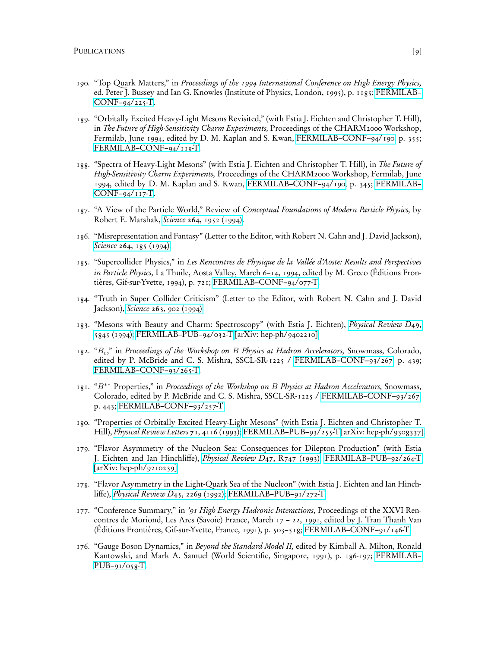- 190. "Top Quark Matters," in Proceedings of the 1994 International Conference on High Energy Physics, ed. Peter J. Bussey and Ian G. Knowles (Institute of Physics, London, 1995), p. 1185; [FERMILAB–](http://fnalpubs.fnal.gov/archive/1994/conf/Conf-94-225-T.pdf) [CONF–94/225-T.](http://fnalpubs.fnal.gov/archive/1994/conf/Conf-94-225-T.pdf)
- 189. "Orbitally Excited Heavy-Light Mesons Revisited," (with Estia J. Eichten and Christopher T. Hill), in The Future of High-Sensitivity Charm Experiments, Proceedings of the CHARM2000 Workshop, Fermilab, June 1994, edited by D. M. Kaplan and S. Kwan, [FERMILAB–CONF–94/190,](http://fnalpubs.fnal.gov/archive/1994/conf/Conf-94-190.pdf) p. 355; [FERMILAB–CONF–94/118-T.](http://fnalpubs.fnal.gov/archive/1994/conf/Conf-94-118-T.pdf)
- 188. "Spectra of Heavy-Light Mesons" (with Estia J. Eichten and Christopher T. Hill), in The Future of High-Sensitivity Charm Experiments, Proceedings of the CHARM2000 Workshop, Fermilab, June 1994, edited by D. M. Kaplan and S. Kwan, [FERMILAB–CONF–94/190,](http://fnalpubs.fnal.gov/archive/1994/conf/Conf-94-190.pdf) p. 345; [FERMILAB–](http://fnalpubs.fnal.gov/archive/1994/conf/Conf-94-117-T.pdf) [CONF–94/117-T.](http://fnalpubs.fnal.gov/archive/1994/conf/Conf-94-117-T.pdf)
- 187. "A View of the Particle World," Review of Conceptual Foundations of Modern Particle Physics, by Robert E. Marshak, Science 264[, 1952 \(1994\).](http://links.jstor.org/sici?sici=0036-8075%2819940624%293%3A264%3A5167%3C1952%3AAVOTPW%3E2.0.CO%3B2-K)
- 186. "Misrepresentation and Fantasy" (Letter to the Editor, with Robert N. Cahn and J. David Jackson), Science 264[, 185 \(1994\).](http://links.jstor.org/sici?sici=0036-8075%2819940408%293%3A264%3A5156%3C185%3AMAF%3E2.0.CO%3B2-L)
- 185. "Supercollider Physics," in Les Rencontres de Physique de la Vallée d'Aoste: Results and Perspectives in Particle Physics, La Thuile, Aosta Valley, March 6–14, 1994, edited by M. Greco (Éditions Frontières, Gif-sur-Yvette, 1994), p. 721; [FERMILAB–CONF–94/077-T.](http://fnalpubs.fnal.gov/archive/1994/conf/Conf-94-077-T.pdf)
- 184. "Truth in Super Collider Criticism" (Letter to the Editor, with Robert N. Cahn and J. David Jackson), Science 263[, 902 \(1994\).](http://links.jstor.org/sici?sici=0036-8075%2819940218%293%3A263%3A5149%3C902%3ATISCC%3E2.0.CO%3B2-1)
- 183. "Mesons with Beauty and Charm: Spectroscopy" (with Estia J. Eichten), [Physical Review D](http://link.aps.org/abstract/PRD/v49/e5845)49, [5845 \(1994\);](http://link.aps.org/abstract/PRD/v49/e5845) [FERMILAB–PUB–94/032-T](http://fnalpubs.fnal.gov/archive/1994/pub/Pub-94-032-T.pdf) [\[arXiv: hep-ph/9402210\].](http://arXiv.org/abs/hep-ph/9402210)
- 182. "B<sub>c</sub>," in Proceedings of the Workshop on B Physics at Hadron Accelerators, Snowmass, Colorado, edited by P. McBride and C. S. Mishra, SSCL-SR-1225 / [FERMILAB–CONF–93/267,](http://fnalpubs.fnal.gov/archive/1993/conf/Conf-93-267.pdf) p. 439; [FERMILAB–CONF–93/265-T.](http://fnalpubs.fnal.gov/archive/1993/conf/Conf-93-265-T.pdf)
- 181. "B<sup>∗</sup>\* Properties," in Proceedings of the Workshop on B Physics at Hadron Accelerators, Snowmass, Colorado, edited by P. McBride and C. S. Mishra, SSCL-SR-1225 / [FERMILAB–CONF–93/267,](http://fnalpubs.fnal.gov/archive/1993/conf/Conf-93-267.pdf) p. 443; [FERMILAB–CONF–93/257-T.](http://fnalpubs.fnal.gov/archive/1993/conf/Conf-93-257-T.pdf)
- 180. "Properties of Orbitally Excited Heavy-Light Mesons" (with Estia J. Eichten and Christopher T. Hill), [Physical Review Letters](http://link.aps.org/abstract/PRL/v71/p4116) 71, 4116 (1993); [FERMILAB–PUB–93/255-T](http://fnalpubs.fnal.gov/archive/1993/pub/Pub-93-255-T.pdf) [\[arXiv: hep-ph/9308337\].](http://arXiv.org/abs/hep-ph/9308337)
- 179. "Flavor Asymmetry of the Nucleon Sea: Consequences for Dilepton Production" (with Estia J. Eichten and Ian Hinchliffe), [Physical Review D](http://link.aps.org/abstract/PRD/v47/eR747)47, R747 (1993); [FERMILAB–PUB–92/264-T](http://fnalpubs.fnal.gov/archive/1992/pub/Pub-92-264-T.pdf)  $\left[$ arXiv: hep-ph/9210239].
- 178. "Flavor Asymmetry in the Light-Quark Sea of the Nucleon" (with Estia J. Eichten and Ian Hinchliffe), [Physical Review D](http://link.aps.org/abstract/PRD/v45/e2269)45, 2269 (1992); [FERMILAB–PUB–91/272-T.](http://fnalpubs.fnal.gov/archive/1991/pub/Pub-91-272-T.pdf)
- 177. "Conference Summary," in '91 High Energy Hadronic Interactions, Proceedings of the XXVI Rencontres de Moriond, Les Arcs (Savoie) France, March 17 – 22, 1991, edited by J. Tran Thanh Van (Éditions Frontières, Gif-sur-Yvette, France, 1991), p. 503–518; [FERMILAB–CONF–91/146-T.](http://fnalpubs.fnal.gov/archive/1991/conf/Conf-91-146-T.pdf)
- 176. "Gauge Boson Dynamics," in Beyond the Standard Model II, edited by Kimball A. Milton, Ronald Kantowski, and Mark A. Samuel (World Scientific, Singapore, 1991), p. 186-197; [FERMILAB–](http://fnalpubs.fnal.gov/archive/1991/pub/Pub-91-058-T.pdf)  $PUB-91/058-T$ .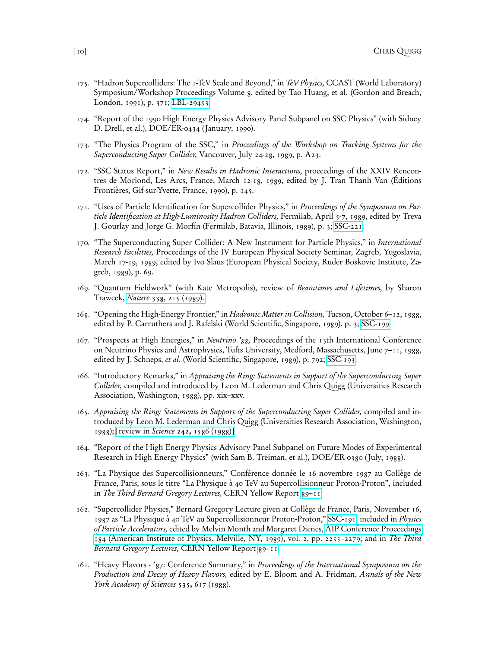- 175. "Hadron Supercolliders: The 1-TeV Scale and Beyond," in TeV Physics, CCAST (World Laboratory) Symposium/Workshop Proceedings Volume 8, edited by Tao Huang, et al. (Gordon and Breach, London, 1991), p. 371; [LBL-29453.](http://www-lib.kek.jp/cgi-bin/kiss_prepri?KN=199009205&OF=4.)
- 174. "Report of the 1990 High Energy Physics Advisory Panel Subpanel on SSC Physics" (with Sidney D. Drell, et al.), DOE/ER-0434 (January, 1990).
- 173. "The Physics Program of the SSC," in Proceedings of the Workshop on Tracking Systems for the Superconducting Super Collider, Vancouver, July 24-28, 1989, p. A23.
- 172. "SSC Status Report," in New Results in Hadronic Interactions, proceedings of the XXIV Rencontres de Moriond, Les Arcs, France, March 12-18, 1989, edited by J. Tran Thanh Van (Éditions Frontières, Gif-sur-Yvette, France, 1990), p. 145.
- 171. "Uses of Particle Identification for Supercollider Physics," in Proceedings of the Symposium on Particle Identification at High-Luminosity Hadron Colliders, Fermilab, April 5-7, 1989, edited by Treva J. Gourlay and Jorge G. Morfín (Fermilab, Batavia, Illinois, 1989), p. 3; [SSC-221.](http://www-lib.kek.jp/cgi-bin/kiss_prepri?KN=198907378&OF=4.)
- 170. "The Superconducting Super Collider: A New Instrument for Particle Physics," in International Research Facilities, Proceedings of the IV European Physical Society Seminar, Zagreb, Yugoslavia, March 17-19, 1989, edited by Ivo Slaus (European Physical Society, Ruder Boskovic Institute, Zagreb, 1989), p. 69.
- 169. "Quantum Fieldwork" (with Kate Metropolis), review of Beamtimes and Lifetimes, by Sharon Traweek, Nature 338[, 215 \(1989\).](https://dx.doi.org/10.1038/338215a0)
- 168. "Opening the High-Energy Frontier," in Hadronic Matter in Collision, Tucson, October 6–12, 1988, edited by P. Carruthers and J. Rafelski (World Scientific, Singapore, 1989). p. 3; [SSC-199.](http://www-lib.kek.jp/cgi-bin/kiss_prepri?KN=198902295&OF=4.)
- 167. "Prospects at High Energies," in Neutrino '88, Proceedings of the 13th International Conference on Neutrino Physics and Astrophysics, Tufts University, Medford, Massachusetts, June 7–11, 1988, edited by J. Schneps, et al. (World Scientific, Singapore, 1989), p. 792; [SSC-193.](http://www-lib.kek.jp/cgi-bin/kiss_prepri?KN=198812232&OF=4.)
- 166. "Introductory Remarks," in Appraising the Ring: Statements in Support of the Superconducting Super Collider, compiled and introduced by Leon M. Lederman and Chris Quigg (Universities Research Association, Washington, 1988), pp. xix–xxv.
- 165. Appraising the Ring: Statements in Support of the Superconducting Super Collider, compiled and introduced by Leon M. Lederman and Chris Quigg (Universities Research Association, Washington, 1988); [review in Science 242, [1586 \(1988\)\].](http://links.jstor.org/sici?sici=0036-8075%2819881216%293%3A242%3A4885%3C1585%3ASOBOI%3E2.0.CO%3B2-I)
- 164. "Report of the High Energy Physics Advisory Panel Subpanel on Future Modes of Experimental Research in High Energy Physics" (with Sam B. Treiman, et al.), DOE/ER-0380 ( July, 1988).
- 163. "La Physique des Supercollisionneurs," Conférence donnée le 16 novembre 1987 au Collège de France, Paris, sous le titre "La Physique à 40 TeV au Supercollisionneur Proton-Proton", included in The Third Bernard Gregory Lectures, CERN Yellow Report 89-11.
- 162. "Supercollider Physics," Bernard Gregory Lecture given at Collège de France, Paris, November 16, 1987 as "La Physique à 40 TeV au Supercollisionneur Proton-Proton," [SSC-191;](http://www-lib.kek.jp/cgi-bin/kiss_prepri?KN=198812230&OF=4.) included in Physics of Particle Accelerators, edited by Melvin Month and Margaret Dienes, [AIP Conference Proceedings](http://proceedings.aip.org/resource/2/apcpcs/184/2/2255_1) [184 \(American Institute of Physics, Melville, NY, 1989\), vol. 2, pp. 2255–2279;](http://proceedings.aip.org/resource/2/apcpcs/184/2/2255_1) and in The Third Bernard Gregory Lectures, CERN Yellow Report 89-11.
- 161. "Heavy Flavors '87: Conference Summary," in Proceedings of the International Symposium on the Production and Decay of Heavy Flavors, edited by E. Bloom and A. Fridman, Annals of the New York Academy of Sciences 535, 617 (1988).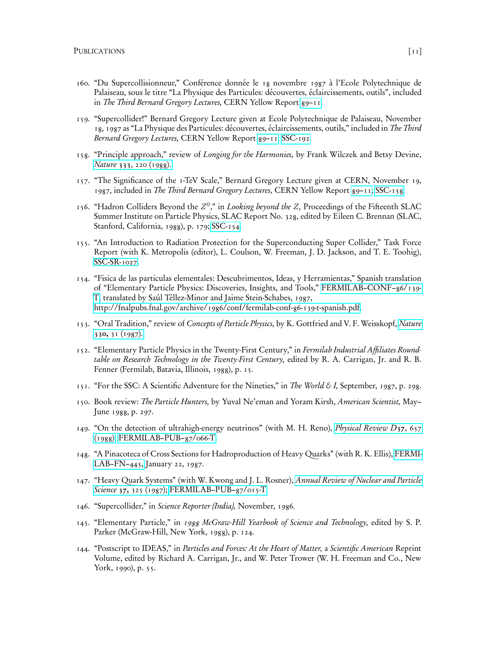- 160. "Du Supercollisionneur," Conférence donnée le 18 novembre 1987 à l'Ecole Polytechnique de Palaiseau, sous le titre "La Physique des Particules: découvertes, éclaircissements, outils", included in The Third Bernard Gregory Lectures, CERN Yellow Report [89–11.](http://www-lib.kek.jp/cgi-bin/kiss_prepri?KN=199003392&OF=4.)
- 159. "Supercollider!" Bernard Gregory Lecture given at Ecole Polytechnique de Palaiseau, November 18, 1987 as "La Physique des Particules: découvertes, éclaircissements, outils," included in The Third Bernard Gregory Lectures, CERN Yellow Report 89-11; [SSC-192.](http://www-lib.kek.jp/cgi-bin/kiss_prepri?KN=198812231&OF=4.)
- 158. "Principle approach," review of Longing for the Harmonies, by Frank Wilczek and Betsy Devine, Nature 333[, 220 \(1988\).](https://dx.doi.org/10.1038/333220a0)
- 157. "The Significance of the 1-TeV Scale," Bernard Gregory Lecture given at CERN, November 19, 1987, included in The Third Bernard Gregory Lectures, CERN Yellow Report 89-11; [SSC-158.](http://www-lib.kek.jp/cgi-bin/kiss_prepri?KN=198803215&OF=4.)
- 156. "Hadron Colliders Beyond the  $Z^0$ ," in Looking beyond the Z, Proceedings of the Fifteenth SLAC Summer Institute on Particle Physics, SLAC Report No. 328, edited by Eileen C. Brennan (SLAC, Stanford, California, 1988), p. 179; [SSC-154.](http://www-lib.kek.jp/cgi-bin/kiss_prepri?KN=198803212&OF=4.)
- 155. "An Introduction to Radiation Protection for the Superconducting Super Collider," Task Force Report (with K. Metropolis (editor), L. Coulson, W. Freeman, J. D. Jackson, and T. E. Toohig), [SSC-SR-1027.](http://www-lib.kek.jp/cgi-bin/kiss_prepri?KN=198712407&OF=4.)
- 154. "Fisica de las particulas elementales: Descubrimentos, Ideas, y Herramientas," Spanish translation of "Elementary Particle Physics: Discoveries, Insights, and Tools," [FERMILAB–CONF–86/139-](http://fnalpubs.fnal.gov/archive/1986/conf/Conf-86-139-T.pdf) [T,](http://fnalpubs.fnal.gov/archive/1986/conf/Conf-86-139-T.pdf) translated by Saúl Téllez-Minor and Jaime Stein-Schabes, 1987, [http://fnalpubs.fnal.gov/archive/1986/conf/fermilab-conf-86-139-t-spanish.pdf.](http://fnalpubs.fnal.gov/archive/1986/conf/fermilab-conf-86-139-t-spanish.pdf)
- 153. "Oral Tradition," review of Concepts of Particle Physics, by K. Gottfried and V. F. Weisskopf, [Nature](https://dx.doi.org/10.1038/330031a0) 330, [31 \(1987\).](https://dx.doi.org/10.1038/330031a0)
- 152. "Elementary Particle Physics in the Twenty-First Century," in Fermilab Industrial Affiliates Roundtable on Research Technology in the Twenty-First Century, edited by R. A. Carrigan, Jr. and R. B. Fenner (Fermilab, Batavia, Illinois, 1988), p. 15.
- 151. "For the SSC: A Scientific Adventure for the Nineties," in The World & I, September, 1987, p. 298.
- 150. Book review: The Particle Hunters, by Yuval Ne'eman and Yoram Kirsh, American Scientist, May– June 1988, p. 297.
- 149. "On the detection of ultrahigh-energy neutrinos" (with M. H. Reno), [Physical Review D](http://link.aps.org/abstract/PRD/v37/e657)37, 657 [\(1988\);](http://link.aps.org/abstract/PRD/v37/e657) [FERMILAB–PUB–87/066-T.](http://fnalpubs.fnal.gov/archive/1987/pub/Pub-87-066-T.pdf)
- 148. "A Pinacoteca of Cross Sections for Hadroproduction of Heavy Quarks" (with R. K. Ellis), [FERMI-](http://fnalpubs.fnal.gov/archive/fn/FN-0445.pdf)[LAB–FN–445,](http://fnalpubs.fnal.gov/archive/fn/FN-0445.pdf) January 22, 1987.
- 147. "Heavy Quark Systems" (with W. Kwong and J. L. Rosner), [Annual Review of Nuclear and Particle](https://dx.doi.org/10.1146/annurev.ns.37.120187.001545) Science 37, [325 \(1987\);](https://dx.doi.org/10.1146/annurev.ns.37.120187.001545) FERMILAB-PUB-87/015-T.
- 146. "Supercollider," in Science Reporter (India), November, 1986.
- 145. "Elementary Particle," in 1988 McGraw-Hill Yearbook of Science and Technology, edited by S. P. Parker (McGraw-Hill, New York, 1988), p. 124.
- 144. "Postscript to IDEAS," in Particles and Forces: At the Heart of Matter, a Scientific American Reprint Volume, edited by Richard A. Carrigan, Jr., and W. Peter Trower (W. H. Freeman and Co., New York, 1990), p. 55.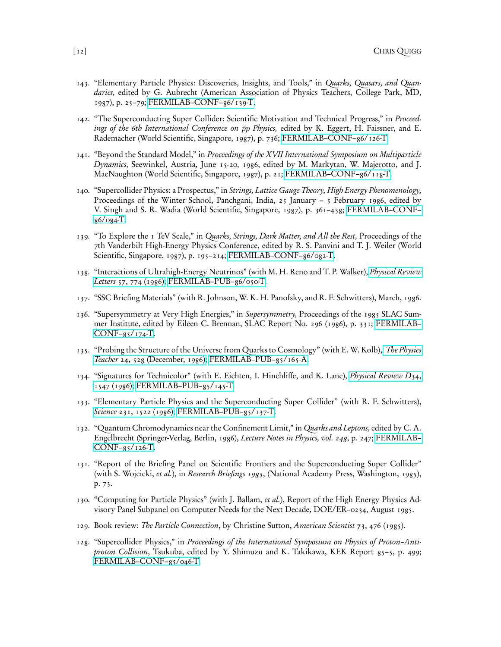- 143. "Elementary Particle Physics: Discoveries, Insights, and Tools," in Quarks, Quasars, and Quandaries, edited by G. Aubrecht (American Association of Physics Teachers, College Park, MD, 1987), p. 25–79; [FERMILAB–CONF–86/139-T.](http://fnalpubs.fnal.gov/archive/1986/conf/Conf-86-139-T.pdf)
- 142. "The Superconducting Super Collider: Scientific Motivation and Technical Progress," in Proceedings of the 6th International Conference on  $\bar{p}p$  Physics, edited by K. Eggert, H. Faissner, and E. Rademacher (World Scientific, Singapore, 1987), p. 736; [FERMILAB–CONF–86/126-T.](http://fnalpubs.fnal.gov/archive/1986/conf/Conf-86-126-T.pdf)
- 141. "Beyond the Standard Model," in Proceedings of the XVII International Symposium on Multiparticle Dynamics, Seewinkel, Austria, June 15-20, 1986, edited by M. Markytan, W. Majerotto, and J. MacNaughton (World Scientific, Singapore, 1987), p. 21; [FERMILAB–CONF–86/118-T.](http://fnalpubs.fnal.gov/archive/1986/conf/Conf-86-118-T.pdf)
- 140. "Supercollider Physics: a Prospectus," in Strings, Lattice Gauge Theory, High Energy Phenomenology, Proceedings of the Winter School, Panchgani, India, 25 January – 5 February 1986, edited by V. Singh and S. R. Wadia (World Scientific, Singapore, 1987), p. 361–438; [FERMILAB–CONF–](http://fnalpubs.fnal.gov/archive/1986/conf/Conf-86-084-T.pdf) [86/084-T.](http://fnalpubs.fnal.gov/archive/1986/conf/Conf-86-084-T.pdf)
- 139. "To Explore the 1 TeV Scale," in *Quarks, Strings, Dark Matter, and All the Rest*, Proceedings of the 7th Vanderbilt High-Energy Physics Conference, edited by R. S. Panvini and T. J. Weiler (World Scientific, Singapore, 1987), p. 195–214; [FERMILAB–CONF–86/082-T.](http://fnalpubs.fnal.gov/archive/1986/conf/Conf-86-082-T.pdf)
- 138. "Interactions of Ultrahigh-Energy Neutrinos" (with M. H. Reno and T. P. Walker), *[Physical Review](http://link.aps.org/abstract/PRL/v57/p774)* Letters 57[, 774 \(1986\);](http://link.aps.org/abstract/PRL/v57/p774) [FERMILAB–PUB–86/050-T.](http://fnalpubs.fnal.gov/archive/1986/pub/Pub-86-050-T.pdf)
- 137. "SSC Briefing Materials" (with R. Johnson, W. K. H. Panofsky, and R. F. Schwitters), March, 1986.
- 136. "Supersymmetry at Very High Energies," in Supersymmetry, Proceedings of the 1985 SLAC Summer Institute, edited by Eileen C. Brennan, SLAC Report No. 296 (1986), p. 331; [FERMILAB–](http://fnalpubs.fnal.gov/archive/1985/conf/Conf-85-174-T.pdf)  $CONF-g5/174-T.$
- 135. "Probing the Structure of the Universe from Quarks to Cosmology" (with E. W. Kolb), [The Physics](https://dx.doi.org/10.1119/1.2342121) Teacher 24, [528 \(December, 1986\);](https://dx.doi.org/10.1119/1.2342121) [FERMILAB–PUB–85/165-A.](http://fnalpubs.fnal.gov/archive/1985/pub/Pub-85-165-A.pdf)
- 134. "Signatures for Technicolor" (with E. Eichten, I. Hinchliffe, and K. Lane), [Physical Review D](http://link.aps.org/abstract/PRD/v34/e1547)34, [1547 \(1986\);](http://link.aps.org/abstract/PRD/v34/e1547) [FERMILAB–PUB–85/145-T.](http://fnalpubs.fnal.gov/archive/1985/pub/Pub-85-145-T.pdf)
- 133. "Elementary Particle Physics and the Superconducting Super Collider" (with R. F. Schwitters), Science 231[, 1522 \(1986\);](http://links.jstor.org/sici?sici=0036-8075%2819860328%293%3A231%3A4745%3C1522%3AEPPATS%3E2.0.CO%3B2-3) [FERMILAB–PUB–85/137-T.](http://fnalpubs.fnal.gov/archive/1985/pub/Pub-85-137-T.pdf)
- 132. "Quantum Chromodynamics near the Confinement Limit," in Quarks and Leptons, edited by C. A. Engelbrecht (Springer-Verlag, Berlin, 1986), Lecture Notes in Physics, vol. 248, p. 247; [FERMILAB–](http://fnalpubs.fnal.gov/archive/1985/conf/Conf-85-126-T.pdf) [CONF–85/126-T.](http://fnalpubs.fnal.gov/archive/1985/conf/Conf-85-126-T.pdf)
- 131. "Report of the Briefing Panel on Scientific Frontiers and the Superconducting Super Collider" (with S. Wojcicki, et al.), in Research Briefings 1985, (National Academy Press, Washington, 1985), p. 73.
- 130. "Computing for Particle Physics" (with J. Ballam, *et al.*), Report of the High Energy Physics Advisory Panel Subpanel on Computer Needs for the Next Decade, DOE/ER–0234, August 1985.
- 129. Book review: The Particle Connection, by Christine Sutton, American Scientist 73, 476 (1985).
- 128. "Supercollider Physics," in Proceedings of the International Symposium on Physics of Proton–Antiproton Collision, Tsukuba, edited by Y. Shimuzu and K. Takikawa, KEK Report 85–5, p. 499; [FERMILAB–CONF–85/046-T.](http://fnalpubs.fnal.gov/archive/1985/conf/Conf-85-046-T.pdf)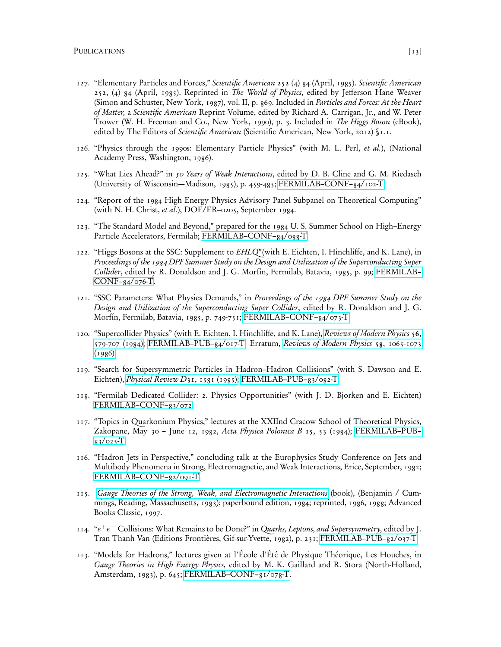- 127. "Elementary Particles and Forces," Scientific American 252 (4) 84 (April, 1985). Scientific American 252, (4) 84 (April, 1985). Reprinted in The World of Physics, edited by Jefferson Hane Weaver (Simon and Schuster, New York, 1987), vol. II, p. 869. Included in Particles and Forces: At the Heart of Matter, a Scientific American Reprint Volume, edited by Richard A. Carrigan, Jr., and W. Peter Trower (W. H. Freeman and Co., New York, 1990), p. 3. Included in The Higgs Boson (eBook), edited by The Editors of Scientific American (Scientific American, New York, 2012) §1.1.
- 126. "Physics through the 1990s: Elementary Particle Physics" (with M. L. Perl, et al.), (National Academy Press, Washington, 1986).
- 125. "What Lies Ahead?" in 50 Years of Weak Interactions, edited by D. B. Cline and G. M. Riedasch (University of Wisconsin—Madison, 1985), p. 459-485; [FERMILAB–CONF–84/102-T.](http://fnalpubs.fnal.gov/archive/1984/conf/Conf-84-102-T.pdf)
- 124. "Report of the 1984 High Energy Physics Advisory Panel Subpanel on Theoretical Computing" (with N. H. Christ, et al.), DOE/ER–0205, September 1984.
- 123. "The Standard Model and Beyond," prepared for the 1984 U. S. Summer School on High–Energy Particle Accelerators, Fermilab; [FERMILAB–CONF–84/088-T.](http://fnalpubs.fnal.gov/archive/1984/conf/Conf-84-088-T.pdf)
- 122. "Higgs Bosons at the SSC: Supplement to EHLQ"(with E. Eichten, I. Hinchliffe, and K. Lane), in Proceedings of the 1984 DPF Summer Study on the Design and Utilization of the Superconducting Super Collider, edited by R. Donaldson and J. G. Morfín, Fermilab, Batavia, 1985, p. 99; [FERMILAB–](http://fnalpubs.fnal.gov/archive/1984/conf/Conf-84-076-T.pdf) [CONF–84/076-T.](http://fnalpubs.fnal.gov/archive/1984/conf/Conf-84-076-T.pdf)
- 121. "SSC Parameters: What Physics Demands," in Proceedings of the 1984 DPF Summer Study on the Design and Utilization of the Superconducting Super Collider, edited by R. Donaldson and J. G. Morfín, Fermilab, Batavia, 1985, p. 749-751; [FERMILAB–CONF–84/073-T.](http://fnalpubs.fnal.gov/archive/1984/conf/Conf-84-073-T.pdf)
- 120. "Supercollider Physics" (with E. Eichten, I. Hinchliffe, and K. Lane), [Reviews of Modern Physics](https://dx.doi.org/10.1103/RevModPhys.56.579) 56, [579-707 \(1984\);](https://dx.doi.org/10.1103/RevModPhys.56.579) [FERMILAB–PUB–84/017-T;](http://fnalpubs.fnal.gov/archive/1984/pub/Pub-84-017-T.pdf) Erratum, [Reviews of Modern Physics](https://dx.doi.org/10.1103/RevModPhys.58.1065) 58, 1065-1073  $(1986).$
- 119. "Search for Supersymmetric Particles in Hadron–Hadron Collisions" (with S. Dawson and E. Eichten), [Physical Review D](http://link.aps.org/abstract/PRD/v31/e1581)31, 1581 (1985); [FERMILAB–PUB–83/082-T.](http://fnalpubs.fnal.gov/archive/1983/pub/Pub-83-082-T.pdf)
- 118. "Fermilab Dedicated Collider: 2. Physics Opportunities" (with J. D. Bjorken and E. Eichten) [FERMILAB–CONF–83/072.](http://fnalpubs.fnal.gov/archive/1983/conf/Conf-83-072.pdf)
- 117. "Topics in Quarkonium Physics," lectures at the XXIInd Cracow School of Theoretical Physics, Zakopane, May 30 - June 12, 1982, Acta Physica Polonica B 15, 53 (1984); FERMILAB-PUB- $83/025 - T$ .
- 116. "Hadron Jets in Perspective," concluding talk at the Europhysics Study Conference on Jets and Multibody Phenomena in Strong, Electromagnetic, and Weak Interactions, Erice, September, 1982; [FERMILAB–CONF–82/091-T.](http://fnalpubs.fnal.gov/archive/1982/conf/Conf-82-091-T.pdf)
- 115. [Gauge Theories of the Strong, Weak, and Electromagnetic Interactions](http://www.perseusbooksgroup.com/perseus-cgi-bin/display/0-201-32832-1) (book), (Benjamin / Cummings, Reading, Massachusetts, 1983); paperbound edition, 1984; reprinted, 1986, 1988; Advanced Books Classic, 1997.
- 114. " $e^+e^-$  Collisions: What Remains to be Done?" in Quarks, Leptons, and Supersymmetry, edited by J. Tran Thanh Van (Editions Frontières, Gif-sur-Yvette, 1982), p. 231; [FERMILAB–PUB–82/037-T.](http://fnalpubs.fnal.gov/archive/1982/pub/Pub-82-037-T.pdf)
- 113. "Models for Hadrons," lectures given at l'École d'Été de Physique Théorique, Les Houches, in Gauge Theories in High Energy Physics, edited by M. K. Gaillard and R. Stora (North-Holland, Amsterdam, 1983), p. 645; [FERMILAB–CONF–81/078-T.](http://fnalpubs.fnal.gov/archive/1981/conf/Conf-81-078-T.pdf)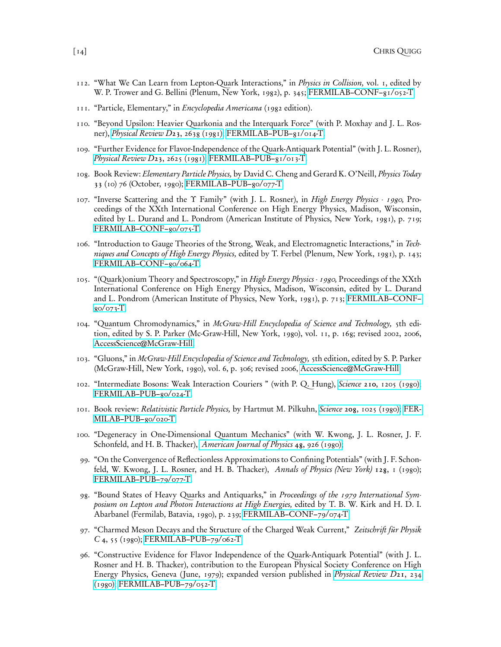- 112. "What We Can Learn from Lepton-Quark Interactions," in Physics in Collision, vol. 1, edited by W. P. Trower and G. Bellini (Plenum, New York, 1982), p. 345; [FERMILAB–CONF–81/052-T.](http://fnalpubs.fnal.gov/archive/1981/conf/Conf-81-052-T.pdf)
- 111. "Particle, Elementary," in Encyclopedia Americana (1982 edition).
- 110. "Beyond Upsilon: Heavier Quarkonia and the Interquark Force" (with P. Moxhay and J. L. Ros-ner), [Physical Review D](http://link.aps.org/abstract/PRD/v23/e2638)23, 2638 (1981); FERMILAB-PUB-81/014-T.
- 109. "Further Evidence for Flavor-Independence of the Quark-Antiquark Potential" (with J. L. Rosner), [Physical Review D](http://link.aps.org/abstract/PRD/v23/e2625)23, 2625 (1981); FERMILAB-PUB-81/013-T.
- 108. Book Review: Elementary Particle Physics, by David C. Cheng and Gerard K. O'Neill, Physics Today 33 (10) 76 (October, 1980); [FERMILAB–PUB–80/077-T.](http://fnalpubs.fnal.gov/archive/1980/pub/Pub-80-077-T.pdf)
- 107. "Inverse Scattering and the Υ Family" (with J. L. Rosner), in High Energy Physics 1980, Proceedings of the XXth International Conference on High Energy Physics, Madison, Wisconsin, edited by L. Durand and L. Pondrom (American Institute of Physics, New York, 1981), p. 719; [FERMILAB–CONF–80/075-T.](http://fnalpubs.fnal.gov/archive/1980/conf/Conf-80-075-T.pdf)
- 106. "Introduction to Gauge Theories of the Strong, Weak, and Electromagnetic Interactions," in Techniques and Concepts of High Energy Physics, edited by T. Ferbel (Plenum, New York, 1981), p. 143; [FERMILAB–CONF–80/064-T.](http://fnalpubs.fnal.gov/archive/1980/conf/Conf-80-064-T.pdf)
- 105. "(Quark)onium Theory and Spectroscopy," in High Energy Physics 1980, Proceedings of the XXth International Conference on High Energy Physics, Madison, Wisconsin, edited by L. Durand and L. Pondrom (American Institute of Physics, New York, 1981), p. 713; [FERMILAB–CONF–](http://fnalpubs.fnal.gov/archive/1980/conf/Conf-80-073-T.pdf)  $80/073 - T$ .
- 104. "Quantum Chromodynamics," in McGraw-Hill Encyclopedia of Science and Technology, 5th edition, edited by S. P. Parker (Mc-Graw-Hill, New York, 1980), vol. 11, p. 168; revised 2002, 2006, [AccessScience@McGraw-Hill.](https://dx.doi.org/10.1036/1097-8542.562500)
- 103. "Gluons," in McGraw-Hill Encyclopedia of Science and Technology, 5th edition, edited by S. P. Parker (McGraw-Hill, New York, 1980), vol. 6, p. 306; revised 2006, [AccessScience@McGraw-Hill.](https://dx.doi.org/10.1036/1097-8542.292600)
- 102. "Intermediate Bosons: Weak Interaction Couriers " (with P. Q. Hung), Science 210[, 1205 \(1980\);](http://links.jstor.org/sici?sici=0036-8075%2819801212%293%3A210%3A4475%3C1205%3AIBWIC%3E2.0.CO%3B2-H) [FERMILAB–PUB–80/024-T.](http://fnalpubs.fnal.gov/archive/1980/pub/Pub-80-024-T.pdf)
- 101. Book review: Relativistic Particle Physics, by Hartmut M. Pilkuhn, Science 208[, 1025 \(1980\);](http://links.jstor.org/sici?sici=0036-8075%2819800530%293%3A208%3A4447%3C1025%3AHEP%3E2.0.CO%3B2-2) [FER-](http://fnalpubs.fnal.gov/archive/1980/pub/Pub-80-020-T.pdf)[MILAB–PUB–80/020-T.](http://fnalpubs.fnal.gov/archive/1980/pub/Pub-80-020-T.pdf)
- 100. "Degeneracy in One-Dimensional Quantum Mechanics" (with W. Kwong, J. L. Rosner, J. F. Schonfeld, and H. B. Thacker), [American Journal of Physics](https://dx.doi.org/10.1119/1.12203) 48, 926 (1980);
- 99. "On the Convergence of Reflectionless Approximations to Confining Potentials" (with J. F. Schonfeld, W. Kwong, J. L. Rosner, and H. B. Thacker), Annals of Physics (New York) 128, 1 (1980); [FERMILAB–PUB–79/077-T.](http://fnalpubs.fnal.gov/archive/1979/pub/Pub-79-077-T.pdf)
- 98. "Bound States of Heavy Quarks and Antiquarks," in Proceedings of the 1979 International Symposium on Lepton and Photon Interactions at High Energies, edited by T. B. W. Kirk and H. D. I. Abarbanel (Fermilab, Batavia, 1980), p. 239; [FERMILAB–CONF–79/074-T.](http://fnalpubs.fnal.gov/archive/1979/conf/Conf-79-074-T.pdf)
- 97. "Charmed Meson Decays and the Structure of the Charged Weak Current," Zeitschrift für Physik C 4, 55 (1980); [FERMILAB–PUB–79/062-T.](http://fnalpubs.fnal.gov/archive/1979/pub/Pub-79-062-T.pdf)
- 96. "Constructive Evidence for Flavor Independence of the Quark-Antiquark Potential" (with J. L. Rosner and H. B. Thacker), contribution to the European Physical Society Conference on High Energy Physics, Geneva (June, 1979); expanded version published in [Physical Review D](http://link.aps.org/abstract/PRD/v21/e234)21, 234 [\(1980\);](http://link.aps.org/abstract/PRD/v21/e234) [FERMILAB–PUB–79/052-T.](http://fnalpubs.fnal.gov/archive/1979/pub/Pub-79-052-T.pdf)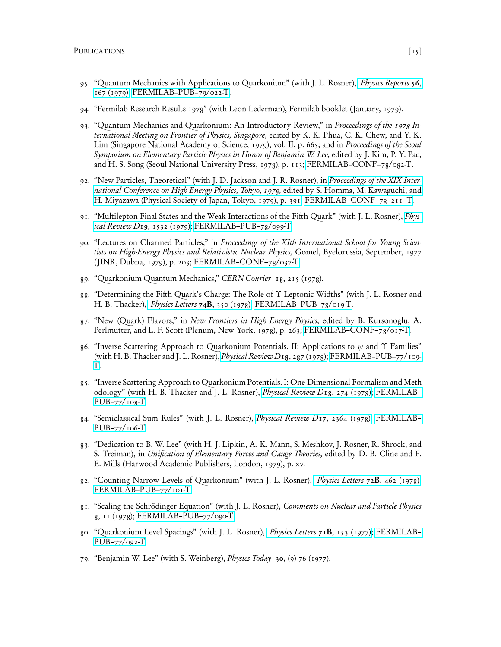- 95. "Quantum Mechanics with Applications to Quarkonium" (with J. L. Rosner), [Physics Reports](https://dx.doi.org/10.1016/0370-1573(79)90095-4) 56, [167 \(1979\);](https://dx.doi.org/10.1016/0370-1573(79)90095-4) [FERMILAB–PUB–79/022-T.](http://fnalpubs.fnal.gov/archive/1979/pub/Pub-79-022-T.pdf)
- 94. "Fermilab Research Results 1978" (with Leon Lederman), Fermilab booklet ( January, 1979).
- 93. "Quantum Mechanics and Quarkonium: An Introductory Review," in Proceedings of the 1978 International Meeting on Frontier of Physics, Singapore, edited by K. K. Phua, C. K. Chew, and Y. K. Lim (Singapore National Academy of Science, 1979), vol. II, p. 665; and in *Proceedings of the Seoul* Symposium on Elementary Particle Physics in Honor of Benjamin W. Lee, edited by J. Kim, P. Y. Pac, and H. S. Song (Seoul National University Press, 1978), p. 113; [FERMILAB–CONF–78/082-T.](http://fnalpubs.fnal.gov/archive/1978/conf/Conf-78-082-T.pdf)
- 92. "New Particles, Theoretical" (with J. D. Jackson and J. R. Rosner), in [Proceedings of the XIX Inter](https://inspirehep.net/files/6ff648489d32d53ceec4dd99f8331ebb)[national Conference on High Energy Physics, Tokyo, 1978,](https://inspirehep.net/files/6ff648489d32d53ceec4dd99f8331ebb) edited by S. Homma, M. Kawaguchi, and [H. Miyazawa \(Physical Society of Japan, Tokyo, 1979\), p. 391;](https://inspirehep.net/files/6ff648489d32d53ceec4dd99f8331ebb) [FERMILAB–CONF–78–211–T.](https://lss.fnal.gov/archive/1978/conf/fermilab-conf-78-211-t.pdf)
- 91. "Multilepton Final States and the Weak Interactions of the Fifth Quark" (with J. L. Rosner), *[Phys](http://link.aps.org/abstract/PRD/v19/e1532)*[ical Review D](http://link.aps.org/abstract/PRD/v19/e1532)19, 1532 (1979); [FERMILAB–PUB–78/099-T.](http://fnalpubs.fnal.gov/archive/1978/pub/Pub-78-099-T.pdf)
- 90. "Lectures on Charmed Particles," in Proceedings of the XIth International School for Young Scientists on High-Energy Physics and Relativistic Nuclear Physics, Gomel, Byelorussia, September, 1977 ( JINR, Dubna, 1979), p. 203; [FERMILAB–CONF–78/037-T.](http://fnalpubs.fnal.gov/archive/1978/conf/Conf-78-037-T.pdf)
- 89. "Quarkonium Quantum Mechanics," CERN Courier 18, 215 (1978).
- 88. "Determining the Fifth Quark's Charge: The Role of Υ Leptonic Widths" (with J. L. Rosner and H. B. Thacker), [Physics Letters](https://dx.doi.org/10.1016/0370-2693(78)90675-5) 74B, 350 (1978); [FERMILAB–PUB–78/019-T.](http://fnalpubs.fnal.gov/archive/1978/pub/Pub-78-019-T.pdf)
- 87. "New (Quark) Flavors," in New Frontiers in High Energy Physics, edited by B. Kursonoglu, A. Perlmutter, and L. F. Scott (Plenum, New York, 1978), p. 263; [FERMILAB–CONF–78/017-T.](http://fnalpubs.fnal.gov/archive/1978/conf/Conf-78-017-T.pdf)
- 86. "Inverse Scattering Approach to Quarkonium Potentials. II: Applications to  $\psi$  and  $\Upsilon$  Families" (with H. B. Thacker and J. L. Rosner), *[Physical Review D](http://link.aps.org/abstract/PRD/v18/e287)18*, 287 (1978); [FERMILAB–PUB–77/109-](http://fnalpubs.fnal.gov/archive/1977/pub/Pub-77-109-T.pdf) [T.](http://fnalpubs.fnal.gov/archive/1977/pub/Pub-77-109-T.pdf)
- 85. "Inverse Scattering Approach to Quarkonium Potentials. I: One-Dimensional Formalism and Methodology" (with H. B. Thacker and J. L. Rosner), [Physical Review D](http://link.aps.org/abstract/PRD/v18/e274)18, 274 (1978); [FERMILAB–](http://fnalpubs.fnal.gov/archive/1977/pub/Pub-77-108-T.pdf) [PUB–77/108-T.](http://fnalpubs.fnal.gov/archive/1977/pub/Pub-77-108-T.pdf)
- 84. "Semiclassical Sum Rules" (with J. L. Rosner), *[Physical Review D](http://link.aps.org/abstract/PRD/v17/e2364)17*, 2364 (1978); FERMILAB-[PUB–77/106-T.](http://fnalpubs.fnal.gov/archive/1977/pub/Pub-77-106-T.pdf)
- 83. "Dedication to B. W. Lee" (with H. J. Lipkin, A. K. Mann, S. Meshkov, J. Rosner, R. Shrock, and S. Treiman), in Unification of Elementary Forces and Gauge Theories, edited by D. B. Cline and F. E. Mills (Harwood Academic Publishers, London, 1979), p. xv.
- 82. "Counting Narrow Levels of Quarkonium" (with J. L. Rosner), [Physics Letters](https://dx.doi.org/10.1016/0370-2693(78)90734-7) 72B, 462 (1978); FERMILAB-PUB-77/101-T.
- 81. "Scaling the Schrödinger Equation" (with J. L. Rosner), Comments on Nuclear and Particle Physics 8, 11 (1978); [FERMILAB–PUB–77/090-T.](http://fnalpubs.fnal.gov/archive/1977/pub/Pub-77-090-T.pdf)
- 80. "Quarkonium Level Spacings" (with J. L. Rosner), *[Physics Letters](https://dx.doi.org/10.1016/0370-2693(77)90765-1)* 71B, 153 (1977); [FERMILAB–](http://fnalpubs.fnal.gov/archive/1977/pub/Pub-77-082-T.pdf) [PUB–77/082-T.](http://fnalpubs.fnal.gov/archive/1977/pub/Pub-77-082-T.pdf)
- 79. "Benjamin W. Lee" (with S. Weinberg), *Physics Today* 30, (9) 76 (1977).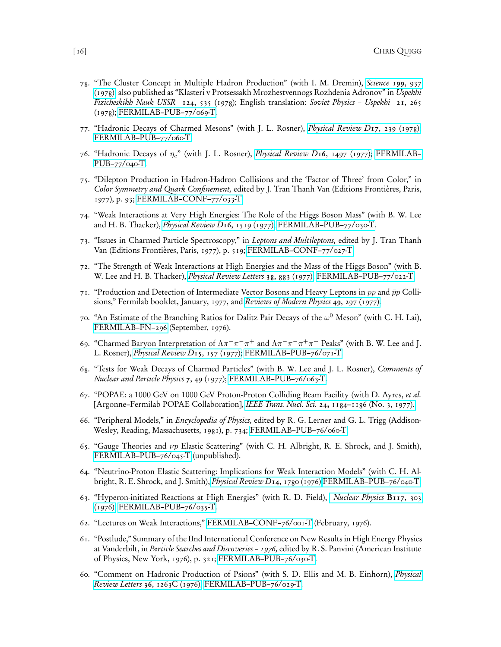- 78. "The Cluster Concept in Multiple Hadron Production" (with I. M. Dremin), [Science](http://links.jstor.org/sici?sici=0036-8075%2819780303%293%3A199%3A4332%3C937%3ATCCIMH%3E2.0.CO%3B2-L) 199, 937 [\(1978\);](http://links.jstor.org/sici?sici=0036-8075%2819780303%293%3A199%3A4332%3C937%3ATCCIMH%3E2.0.CO%3B2-L) also published as "Klasteri v Protsessakh Mrozhestvennogs Rozhdenia Adronov" in Uspekhi Fizicheskikh Nauk USSR 124, 535 (1978); English translation: Soviet Physics – Uspekhi 21, 265 (1978); [FERMILAB–PUB–77/069-T.](http://fnalpubs.fnal.gov/archive/1977/pub/Pub-77-069-T.pdf)
- 77. "Hadronic Decays of Charmed Mesons" (with J. L. Rosner), [Physical Review D](http://link.aps.org/abstract/PRD/v17/e239)17, 239 (1978); [FERMILAB–PUB–77/060-T.](http://fnalpubs.fnal.gov/archive/1977/pub/Pub-77-060-T.pdf)
- 76. "Hadronic Decays of  $\eta_c$ " (with J. L. Rosner), *[Physical Review D](http://link.aps.org/abstract/PRD/v16/e1497)16*, 1497 (1977); [FERMILAB–](http://fnalpubs.fnal.gov/archive/1977/pub/Pub-77-040-T.pdf) [PUB–77/040-T.](http://fnalpubs.fnal.gov/archive/1977/pub/Pub-77-040-T.pdf)
- 75. "Dilepton Production in Hadron-Hadron Collisions and the 'Factor of Three' from Color," in Color Symmetry and Quark Confinement, edited by J. Tran Thanh Van (Editions Frontières, Paris, 1977), p. 93; [FERMILAB–CONF–77/033-T.](http://fnalpubs.fnal.gov/archive/1977/conf/Conf-77-033-T.pdf)
- 74. "Weak Interactions at Very High Energies: The Role of the Higgs Boson Mass" (with B. W. Lee and H. B. Thacker), [Physical Review D](http://link.aps.org/abstract/PRD/v16/e1519)16, 1519 (1977); [FERMILAB–PUB–77/030-T.](http://fnalpubs.fnal.gov/archive/1977/pub/Pub-77-030-T.pdf)
- 73. "Issues in Charmed Particle Spectroscopy," in Leptons and Multileptons, edited by J. Tran Thanh Van (Editions Frontières, Paris, 1977), p. 519; [FERMILAB–CONF–77/027-T.](http://fnalpubs.fnal.gov/archive/1977/conf/Conf-77-027-T.pdf)
- 72. "The Strength of Weak Interactions at High Energies and the Mass of the Higgs Boson" (with B. W. Lee and H. B. Thacker), *[Physical Review Letters](http://link.aps.org/abstract/PRL/v38/p883)* 38, 883 (1977); FERMILAB-PUB-77/022-T.
- 71. "Production and Detection of Intermediate Vector Bosons and Heavy Leptons in pp and  $\bar{p}p$  Collisions," Fermilab booklet, January, 1977, and [Reviews of Modern Physics](https://dx.doi.org/10.1103/RevModPhys.49.297) 49, 297 (1977).
- 70. "An Estimate of the Branching Ratios for Dalitz Pair Decays of the  $\omega^0$  Meson" (with C. H. Lai), [FERMILAB–FN–296](http://fnalpubs.fnal.gov/archive/fn/FN-0296.pdf) (September, 1976).
- 69. "Charmed Baryon Interpretation of  $\Lambda \pi^- \pi^- \pi^+$  and  $\Lambda \pi^- \pi^- \pi^+ \pi^+$  Peaks" (with B. W. Lee and J. L. Rosner), [Physical Review D](http://link.aps.org/abstract/PRD/v15/e157)15, 157 (1977); [FERMILAB–PUB–76/071-T.](http://fnalpubs.fnal.gov/archive/1976/pub/Pub-76-071-T.pdf)
- 68. "Tests for Weak Decays of Charmed Particles" (with B. W. Lee and J. L. Rosner), Comments of Nuclear and Particle Physics 7, 49 (1977); [FERMILAB–PUB–76/063-T.](http://fnalpubs.fnal.gov/archive/1976/pub/Pub-76-063-T.pdf)
- 67. "POPAE: a 1000 GeV on 1000 GeV Proton-Proton Colliding Beam Facility (with D. Ayres, et al. [Argonne–Fermilab POPAE Collaboration], IEEE Trans. Nucl. Sci. 24, [1184–1186 \(No. 3, 1977\).](http://accelconf.web.cern.ch/AccelConf/p77/PDF/PAC1977_1184.PDF)
- 66. "Peripheral Models," in Encyclopedia of Physics, edited by R. G. Lerner and G. L. Trigg (Addison-Wesley, Reading, Massachusetts, 1981), p. 734; [FERMILAB–PUB–76/060-T.](http://fnalpubs.fnal.gov/archive/1976/pub/Pub-76-060-T.pdf)
- 65. "Gauge Theories and  $\nu p$  Elastic Scattering" (with C. H. Albright, R. E. Shrock, and J. Smith), [FERMILAB–PUB–76/045-T](http://fnalpubs.fnal.gov/archive/1976/pub/Pub-76-045-T.pdf) (unpublished).
- 64. "Neutrino-Proton Elastic Scattering: Implications for Weak Interaction Models" (with C. H. Albright, R. E. Shrock, and J. Smith), [Physical Review D](http://link.aps.org/abstract/PRD/v14/e1780)14, 1780 (1976) [FERMILAB–PUB–76/040-T.](http://fnalpubs.fnal.gov/archive/1976/pub/Pub-76-040-T.pdf)
- 63. "Hyperon-initiated Reactions at High Energies" (with R. D. Field), [Nuclear Physics](https://dx.doi.org/10.1016/0550-3213(76)90399-0) B117, 303 [\(1976\);](https://dx.doi.org/10.1016/0550-3213(76)90399-0) [FERMILAB–PUB–76/035-T.](http://fnalpubs.fnal.gov/archive/1976/pub/Pub-76-035-T.pdf)
- 62. "Lectures on Weak Interactions," [FERMILAB–CONF–76/001-T](http://fnalpubs.fnal.gov/archive/1976/conf/Conf-76-001-T.pdf) (February, 1976).
- 61. "Postlude," Summary of the IInd International Conference on New Results in High Energy Physics at Vanderbilt, in Particle Searches and Discoveries – 1976, edited by R. S. Panvini (American Institute of Physics, New York, 1976), p. 321; [FERMILAB–PUB–76/030-T.](http://fnalpubs.fnal.gov/archive/1976/pub/Pub-76-030-T.pdf)
- 60. "Comment on Hadronic Production of Psions" (with S. D. Ellis and M. B. Einhorn), [Physical](http://link.aps.org/abstract/PRL/v36/p1263C) Review Letters 36[, 1263C \(1976\);](http://link.aps.org/abstract/PRL/v36/p1263C) [FERMILAB–PUB–76/029-T.](http://fnalpubs.fnal.gov/archive/1976/pub/Pub-76-029-T.pdf)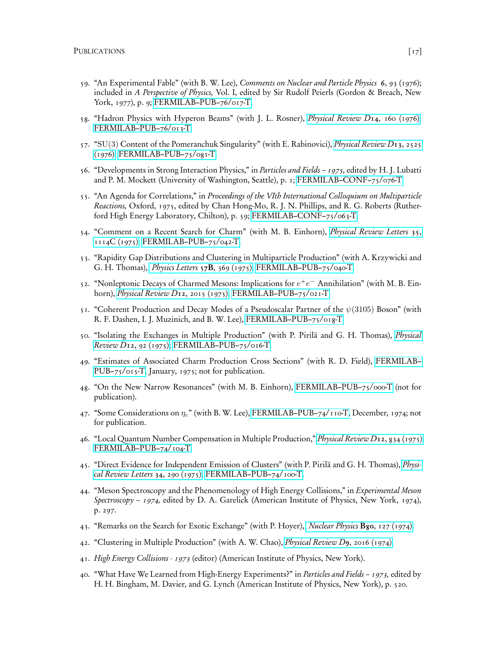- 59. "An Experimental Fable" (with B. W. Lee), Comments on Nuclear and Particle Physics 6, 93 (1976); included in A Perspective of Physics, Vol. I, edited by Sir Rudolf Peierls (Gordon & Breach, New York, 1977), p. 9; [FERMILAB–PUB–76/017-T.](http://fnalpubs.fnal.gov/archive/1976/pub/Pub-76-017-T.pdf)
- 58. "Hadron Physics with Hyperon Beams" (with J. L. Rosner), [Physical Review D](http://link.aps.org/abstract/PRD/v14/e160)14, 160 (1976); [FERMILAB–PUB–76/013-T.](http://fnalpubs.fnal.gov/archive/1976/pub/Pub-76-013-T.pdf)
- 57. "SU(3) Content of the Pomeranchuk Singularity" (with E. Rabinovici), *[Physical Review D](http://link.aps.org/abstract/PRD/v13/e2525)13*, 2525 [\(1976\);](http://link.aps.org/abstract/PRD/v13/e2525) [FERMILAB–PUB–75/081-T.](http://fnalpubs.fnal.gov/archive/1975/pub/Pub-75-081-T.pdf)
- 56. "Developments in Strong Interaction Physics," in Particles and Fields 1975, edited by H. J. Lubatti and P. M. Mockett (University of Washington, Seattle), p. 1; [FERMILAB–CONF–75/076-T.](http://fnalpubs.fnal.gov/archive/1975/conf/Conf-75-076-T.pdf)
- 55. "An Agenda for Correlations," in Proceedings of the VIth International Colloquium on Multiparticle Reactions, Oxford, 1975, edited by Chan Hong-Mo, R. J. N. Phillips, and R. G. Roberts (Rutherford High Energy Laboratory, Chilton), p. 59; [FERMILAB–CONF–75/063-T.](http://fnalpubs.fnal.gov/archive/1975/conf/Conf-75-063-T.pdf)
- 54. "Comment on a Recent Search for Charm" (with M. B. Einhorn), [Physical Review Letters](http://link.aps.org/abstract/PRL/v35/p1114C) 35, [1114C \(1975\);](http://link.aps.org/abstract/PRL/v35/p1114C) [FERMILAB–PUB–75/042-T.](http://fnalpubs.fnal.gov/archive/1975/pub/Pub-75-042-T.pdf)
- 53. "Rapidity Gap Distributions and Clustering in Multiparticle Production" (with A. Krzywicki and G. H. Thomas), [Physics Letters](https://dx.doi.org/10.1016/0370-2693(75)90473-6) 57B, 369 (1975); [FERMILAB–PUB–75/040-T.](http://fnalpubs.fnal.gov/archive/1975/pub/Pub-75-040-T.pdf)
- 52. "Nonleptonic Decays of Charmed Mesons: Implications for  $e^+e^-$  Annihilation" (with M. B. Einhorn), [Physical Review D](http://link.aps.org/abstract/PRD/v12/e2015)12, 2015 (1975); [FERMILAB–PUB–75/021-T.](http://fnalpubs.fnal.gov/archive/1975/pub/Pub-75-021-T.pdf)
- 51. "Coherent Production and Decay Modes of a Pseudoscalar Partner of the  $\psi(3105)$  Boson" (with R. F. Dashen, I. J. Muzinich, and B. W. Lee), [FERMILAB–PUB–75/018-T.](http://fnalpubs.fnal.gov/archive/1975/pub/Pub-75-018-T.pdf)
- 50. "Isolating the Exchanges in Multiple Production" (with P. Pirilä and G. H. Thomas), [Physical](http://link.aps.org/abstract/PRD/v12/e92) Review D12[, 92 \(1975\);](http://link.aps.org/abstract/PRD/v12/e92) [FERMILAB–PUB–75/016-T.](http://fnalpubs.fnal.gov/archive/1975/pub/Pub-75-016-T.pdf)
- 49. "Estimates of Associated Charm Production Cross Sections" (with R. D. Field), [FERMILAB–](http://fnalpubs.fnal.gov/archive/1975/pub/Pub-75-015-T.pdf) [PUB–75/015-T,](http://fnalpubs.fnal.gov/archive/1975/pub/Pub-75-015-T.pdf) January, 1975; not for publication.
- 48. "On the New Narrow Resonances" (with M. B. Einhorn), [FERMILAB–PUB–75/000-T](http://fnalpubs.fnal.gov/archive/1975/pub/Pub-75-000-T.pdf) (not for publication).
- 47. "Some Considerations on  $\eta_c$ " (with B. W. Lee), [FERMILAB–PUB–74/110-T,](http://fnalpubs.fnal.gov/archive/1974/pub/Pub-74-110-T.pdf) December, 1974; not for publication.
- 46. "Local Quantum Number Compensation in Multiple Production," [Physical Review D](http://link.aps.org/abstract/PRD/v12/e834)12, 834 (1975); [FERMILAB–PUB–74/104-T.](http://fnalpubs.fnal.gov/archive/1974/pub/Pub-74-104-T.pdf)
- 45. "Direct Evidence for Independent Emission of Clusters" (with P. Pirilä and G. H. Thomas), [Physi](http://link.aps.org/abstract/PRL/v34/p290)[cal Review Letters](http://link.aps.org/abstract/PRL/v34/p290) 34, 290 (1975); [FERMILAB–PUB–74/100-T.](http://fnalpubs.fnal.gov/archive/1974/pub/Pub-74-100-T.pdf)
- 44. "Meson Spectroscopy and the Phenomenology of High Energy Collisions," in Experimental Meson Spectroscopy – 1974, edited by D. A. Garelick (American Institute of Physics, New York, 1974), p. 297.
- 43. "Remarks on the Search for Exotic Exchange" (with P. Hoyer), *[Nuclear Physics](https://dx.doi.org/10.1016/0550-3213(74)90034-0)* B80, 127 (1974).
- 42. "Clustering in Multiple Production" (with A. W. Chao), [Physical Review D](http://link.aps.org/abstract/PRD/v9/e2016)9, 2016 (1974).
- 41. High Energy Collisions 1973 (editor) (American Institute of Physics, New York).
- 40. "What Have We Learned from High-Energy Experiments?" in Particles and Fields 1973, edited by H. H. Bingham, M. Davier, and G. Lynch (American Institute of Physics, New York), p. 520.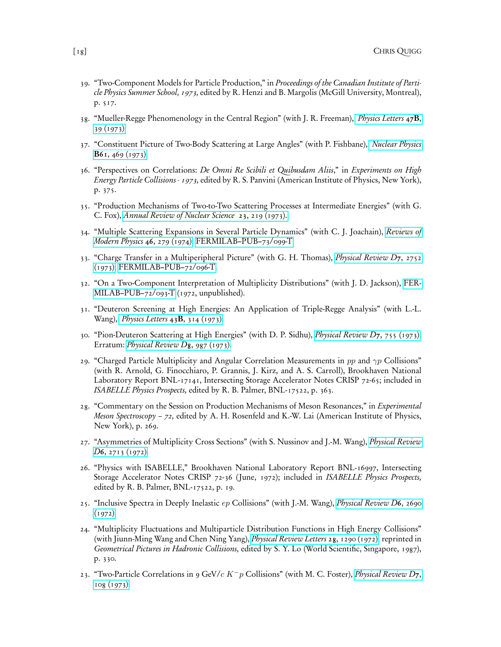- 39. "Two-Component Models for Particle Production," in Proceedings of the Canadian Institute of Particle Physics Summer School, 1973, edited by R. Henzi and B. Margolis (McGill University, Montreal), p. 517.
- 38. "Mueller-Regge Phenomenology in the Central Region" (with J. R. Freeman), [Physics Letters](https://dx.doi.org/10.1016/0370-2693(73)90564-9) 47B, [39 \(1973\).](https://dx.doi.org/10.1016/0370-2693(73)90564-9)
- 37. "Constituent Picture of Two-Body Scattering at Large Angles" (with P. Fishbane), [Nuclear Physics](https://dx.doi.org/10.1016/0550-3213(73)90377-5) B61[, 469 \(1973\).](https://dx.doi.org/10.1016/0550-3213(73)90377-5)
- 36. "Perspectives on Correlations: De Omni Re Scibili et Quibusdam Aliis," in Experiments on High Energy Particle Collisions - 1973, edited by R. S. Panvini (American Institute of Physics, New York), p. 375.
- 35. "Production Mechanisms of Two-to-Two Scattering Processes at Intermediate Energies" (with G. C. Fox), [Annual Review of Nuclear Science](https://dx.doi.org/10.1146/annurev.ns.23.120173.001251) 23, 219 (1973).
- 34. "Multiple Scattering Expansions in Several Particle Dynamics" (with C. J. Joachain), [Reviews of](https://dx.doi.org/10.1103/RevModPhys.46.279) [Modern Physics](https://dx.doi.org/10.1103/RevModPhys.46.279) 46, 279 (1974); [FERMILAB–PUB–73/099-T.](http://fnalpubs.fnal.gov/archive/1973/pub/Pub-73-099-T.pdf)
- 33. "Charge Transfer in a Multiperipheral Picture" (with G. H. Thomas), [Physical Review D](http://link.aps.org/abstract/PRD/v7/e2752)7, 2752 [\(1973\);](http://link.aps.org/abstract/PRD/v7/e2752) [FERMILAB–PUB–72/096-T.](http://fnalpubs.fnal.gov/archive/1972/pub/Pub-72-096-T.pdf)
- 32. "On a Two-Component Interpretation of Multiplicity Distributions" (with J. D. Jackson), [FER-](http://fnalpubs.fnal.gov/archive/1972/pub/Pub-72-093-T.pdf)[MILAB–PUB–72/093-T](http://fnalpubs.fnal.gov/archive/1972/pub/Pub-72-093-T.pdf) (1972, unpublished).
- 31. "Deuteron Screening at High Energies: An Application of Triple-Regge Analysis" (with L.-L. Wang), [Physics Letters](https://dx.doi.org/10.1016/0370-2693(73)90449-8) 43B, 314 (1973).
- 30. "Pion-Deuteron Scattering at High Energies" (with D. P. Sidhu), [Physical Review D](http://link.aps.org/abstract/PRD/v7/e755)7, 755 (1973); Erratum: *[Physical Review D](http://link.aps.org/abstract/PRD/v8/e987)*8, 987 (1973).
- 29. "Charged Particle Multiplicity and Angular Correlation Measurements in  $pp$  and  $\gamma p$  Collisions" (with R. Arnold, G. Finocchiaro, P. Grannis, J. Kirz, and A. S. Carroll), Brookhaven National Laboratory Report BNL-17141, Intersecting Storage Accelerator Notes CRISP 72-65; included in ISABELLE Physics Prospects, edited by R. B. Palmer, BNL-17522, p. 363.
- 28. "Commentary on the Session on Production Mechanisms of Meson Resonances," in Experimental *Meson Spectroscopy – 72,* edited by A. H. Rosenfeld and K.-W. Lai (American Institute of Physics, New York), p. 269.
- 27. "Asymmetries of Multiplicity Cross Sections" (with S. Nussinov and J.-M. Wang), *[Physical Review](http://link.aps.org/abstract/PRD/v6/e2713)* D6[, 2713 \(1972\).](http://link.aps.org/abstract/PRD/v6/e2713)
- 26. "Physics with ISABELLE," Brookhaven National Laboratory Report BNL-16997, Intersecting Storage Accelerator Notes CRISP 72-36 (June, 1972); included in *ISABELLE Physics Prospects*, edited by R. B. Palmer, BNL-17522, p. 19.
- 25. "Inclusive Spectra in Deeply Inelastic ep Collisions" (with J.-M. Wang), [Physical Review D](http://link.aps.org/abstract/PRD/v6/e2690)6, 2690  $(1972)$ .
- 24. "Multiplicity Fluctuations and Multiparticle Distribution Functions in High Energy Collisions" (with Jiunn-Ming Wang and Chen Ning Yang), [Physical Review Letters](http://link.aps.org/abstract/PRL/v28/p1290) 28, 1290 (1972); reprinted in Geometrical Pictures in Hadronic Collisions, edited by S. Y. Lo (World Scientific, Singapore, 1987), p. 330.
- 23. "Two-Particle Correlations in 9 GeV/c K<sup>-</sup>p Collisions" (with M. C. Foster), *[Physical Review D](http://link.aps.org/abstract/PRD/v7/e108)7*, [108 \(1973\).](http://link.aps.org/abstract/PRD/v7/e108)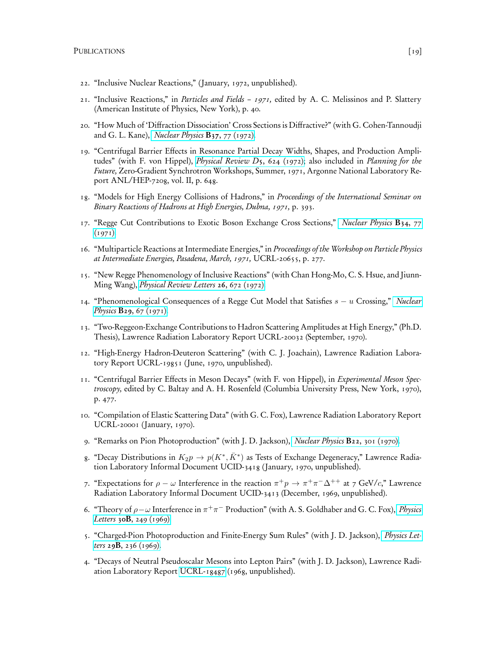- 22. "Inclusive Nuclear Reactions," ( January, 1972, unpublished).
- 21. "Inclusive Reactions," in Particles and Fields 1971, edited by A. C. Melissinos and P. Slattery (American Institute of Physics, New York), p. 40.
- 20. "How Much of 'Diffraction Dissociation' Cross Sections is Diffractive?" (with G. Cohen-Tannoudji and G. L. Kane), *[Nuclear Physics](https://dx.doi.org/10.1016/0550-3213(71)90318-X)*  $B_{37}$ , 77 (1972).
- 19. "Centrifugal Barrier Effects in Resonance Partial Decay Widths, Shapes, and Production Amplitudes" (with F. von Hippel), *[Physical Review D](http://link.aps.org/abstract/PRD/v5/e624)*5, 624 (1972); also included in *Planning for the* Future, Zero-Gradient Synchrotron Workshops, Summer, 1971, Argonne National Laboratory Report ANL/HEP-7208, vol. II, p. 648.
- 18. "Models for High Energy Collisions of Hadrons," in Proceedings of the International Seminar on Binary Reactions of Hadrons at High Energies, Dubna, 1971, p. 393.
- 17. "Regge Cut Contributions to Exotic Boson Exchange Cross Sections," [Nuclear Physics](https://dx.doi.org/10.1016/0550-3213(71)90110-6) B34, 77  $(1971)$ .
- 16. "Multiparticle Reactions at Intermediate Energies," in Proceedings of the Workshop on Particle Physics at Intermediate Energies, Pasadena, March, 1971, UCRL-20655, p. 277.
- 15. "New Regge Phenomenology of Inclusive Reactions" (with Chan Hong-Mo, C. S. Hsue, and Jiunn-Ming Wang), [Physical Review Letters](http://link.aps.org/abstract/PRL/v26/p672) 26, 672 (1972).
- 14. "Phenomenological Consequences of a Regge Cut Model that Satisfies  $s u$  Crossing," [Nuclear](https://dx.doi.org/10.1016/0550-3213(71)90211-2) Physics **B29**[, 67 \(1971\).](https://dx.doi.org/10.1016/0550-3213(71)90211-2)
- 13. "Two-Reggeon-Exchange Contributions to Hadron Scattering Amplitudes at High Energy," (Ph.D. Thesis), Lawrence Radiation Laboratory Report UCRL-20032 (September, 1970).
- 12. "High-Energy Hadron-Deuteron Scattering" (with C. J. Joachain), Lawrence Radiation Laboratory Report UCRL-19851 (June, 1970, unpublished).
- 11. "Centrifugal Barrier Effects in Meson Decays" (with F. von Hippel), in Experimental Meson Spectroscopy, edited by C. Baltay and A. H. Rosenfeld (Columbia University Press, New York, 1970), p. 477.
- 10. "Compilation of Elastic Scattering Data" (with G. C. Fox), Lawrence Radiation Laboratory Report UCRL-20001 (January, 1970).
- 9. "Remarks on Pion Photoproduction" (with J. D. Jackson), [Nuclear Physics](https://dx.doi.org/10.1016/0550-3213(70)90229-4) B22, 301 (1970).
- 8. "Decay Distributions in  $K_2p \to p(K^*, \bar{K}^*)$  as Tests of Exchange Degeneracy," Lawrence Radiation Laboratory Informal Document UCID-3418 ( January, 1970, unpublished).
- 7. "Expectations for  $\rho \omega$  Interference in the reaction  $\pi^+ p \to \pi^+ \pi^- \Delta^{++}$  at 7 GeV/c," Lawrence Radiation Laboratory Informal Document UCID-3413 (December, 1969, unpublished).
- 6. "Theory of  $\rho-\omega$  Interference in  $\pi^+\pi^-$  Production" (with A. S. Goldhaber and G. C. Fox), [Physics](https://dx.doi.org/10.1016/0370-2693(69)90431-6) Letters  $30B$ ,  $249$  (1969).
- 5. "Charged-Pion Photoproduction and Finite-Energy Sum Rules" (with J. D. Jackson), [Physics Let](https://dx.doi.org/10.1016/0370-2693(69)90154-3)ters 29**B**[, 236 \(1969\).](https://dx.doi.org/10.1016/0370-2693(69)90154-3)
- 4. "Decays of Neutral Pseudoscalar Mesons into Lepton Pairs" (with J. D. Jackson), Lawrence Radiation Laboratory Report [UCRL-18487](http://www.osti.gov/bridge/servlets/purl/898288-4apGM3/898288.PDF) (1968, unpublished).